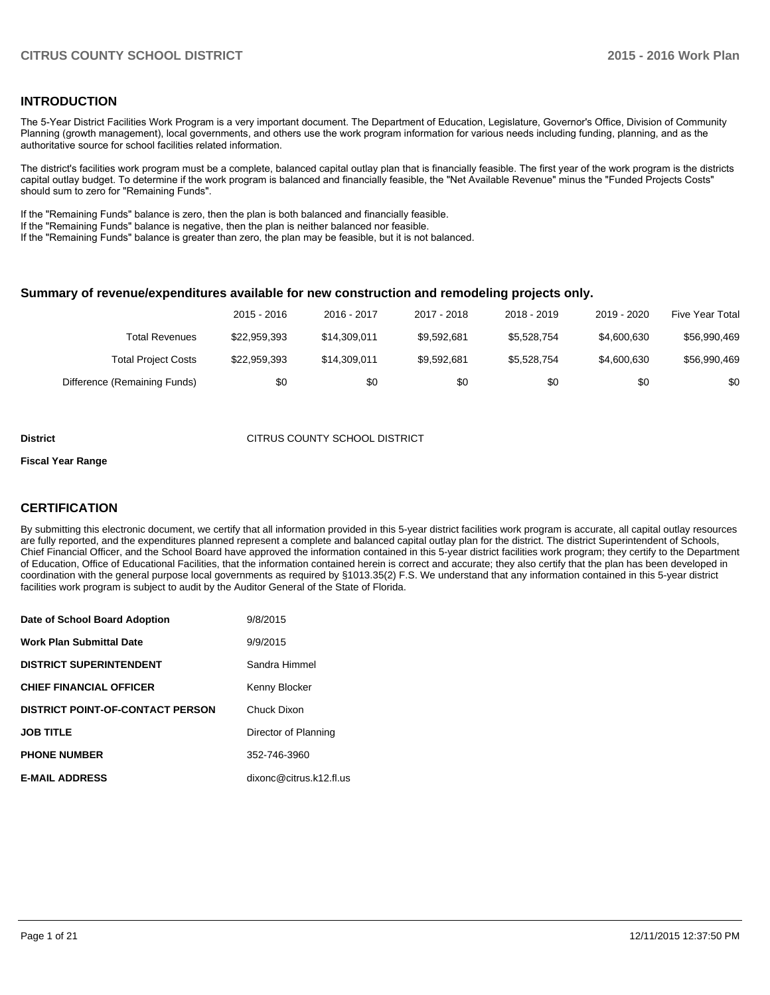#### **INTRODUCTION**

The 5-Year District Facilities Work Program is a very important document. The Department of Education, Legislature, Governor's Office, Division of Community Planning (growth management), local governments, and others use the work program information for various needs including funding, planning, and as the authoritative source for school facilities related information.

The district's facilities work program must be a complete, balanced capital outlay plan that is financially feasible. The first year of the work program is the districts capital outlay budget. To determine if the work program is balanced and financially feasible, the "Net Available Revenue" minus the "Funded Projects Costs" should sum to zero for "Remaining Funds".

If the "Remaining Funds" balance is zero, then the plan is both balanced and financially feasible.

If the "Remaining Funds" balance is negative, then the plan is neither balanced nor feasible.

If the "Remaining Funds" balance is greater than zero, the plan may be feasible, but it is not balanced.

#### **Summary of revenue/expenditures available for new construction and remodeling projects only.**

|                              | 2015 - 2016  | 2016 - 2017  | 2017 - 2018 | 2018 - 2019 | 2019 - 2020 | Five Year Total |
|------------------------------|--------------|--------------|-------------|-------------|-------------|-----------------|
| Total Revenues               | \$22,959,393 | \$14.309.011 | \$9.592.681 | \$5,528,754 | \$4,600,630 | \$56,990,469    |
| <b>Total Project Costs</b>   | \$22,959,393 | \$14.309.011 | \$9.592.681 | \$5.528.754 | \$4,600,630 | \$56,990,469    |
| Difference (Remaining Funds) | \$0          | \$0          | \$0         | \$0         | \$0         | \$0             |

#### **District CITRUS COUNTY SCHOOL DISTRICT**

#### **Fiscal Year Range**

#### **CERTIFICATION**

By submitting this electronic document, we certify that all information provided in this 5-year district facilities work program is accurate, all capital outlay resources are fully reported, and the expenditures planned represent a complete and balanced capital outlay plan for the district. The district Superintendent of Schools, Chief Financial Officer, and the School Board have approved the information contained in this 5-year district facilities work program; they certify to the Department of Education, Office of Educational Facilities, that the information contained herein is correct and accurate; they also certify that the plan has been developed in coordination with the general purpose local governments as required by §1013.35(2) F.S. We understand that any information contained in this 5-year district facilities work program is subject to audit by the Auditor General of the State of Florida.

| Date of School Board Adoption           | 9/8/2015                |
|-----------------------------------------|-------------------------|
| <b>Work Plan Submittal Date</b>         | 9/9/2015                |
| <b>DISTRICT SUPERINTENDENT</b>          | Sandra Himmel           |
| <b>CHIEF FINANCIAL OFFICER</b>          | Kenny Blocker           |
| <b>DISTRICT POINT-OF-CONTACT PERSON</b> | Chuck Dixon             |
| <b>JOB TITLE</b>                        | Director of Planning    |
| <b>PHONE NUMBER</b>                     | 352-746-3960            |
| <b>E-MAIL ADDRESS</b>                   | dixonc@citrus.k12.fl.us |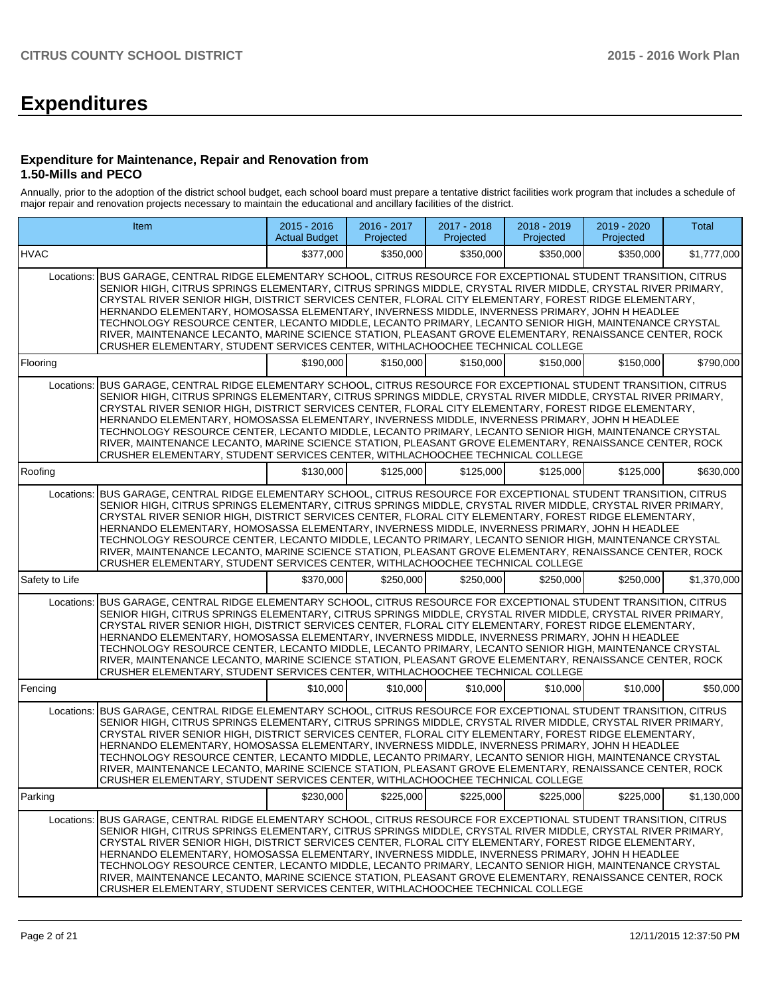# **Expenditures**

#### **Expenditure for Maintenance, Repair and Renovation from 1.50-Mills and PECO**

Annually, prior to the adoption of the district school budget, each school board must prepare a tentative district facilities work program that includes a schedule of major repair and renovation projects necessary to maintain the educational and ancillary facilities of the district.

|                | Item                                                                                                                                                                                                                                                                                                                                                                                                                                                                                                                                                                                                                                                                                                                                   | $2015 - 2016$<br><b>Actual Budget</b> | 2016 - 2017<br>Projected | 2017 - 2018<br>Projected | 2018 - 2019<br>Projected | 2019 - 2020<br>Projected | <b>Total</b> |  |  |  |
|----------------|----------------------------------------------------------------------------------------------------------------------------------------------------------------------------------------------------------------------------------------------------------------------------------------------------------------------------------------------------------------------------------------------------------------------------------------------------------------------------------------------------------------------------------------------------------------------------------------------------------------------------------------------------------------------------------------------------------------------------------------|---------------------------------------|--------------------------|--------------------------|--------------------------|--------------------------|--------------|--|--|--|
| <b>HVAC</b>    |                                                                                                                                                                                                                                                                                                                                                                                                                                                                                                                                                                                                                                                                                                                                        | \$377,000                             | \$350,000                | \$350,000                | \$350,000                | \$350,000                | \$1,777,000  |  |  |  |
| Locations:     | BUS GARAGE, CENTRAL RIDGE ELEMENTARY SCHOOL, CITRUS RESOURCE FOR EXCEPTIONAL STUDENT TRANSITION, CITRUS<br>SENIOR HIGH, CITRUS SPRINGS ELEMENTARY, CITRUS SPRINGS MIDDLE, CRYSTAL RIVER MIDDLE, CRYSTAL RIVER PRIMARY,<br>CRYSTAL RIVER SENIOR HIGH, DISTRICT SERVICES CENTER, FLORAL CITY ELEMENTARY, FOREST RIDGE ELEMENTARY,<br>HERNANDO ELEMENTARY, HOMOSASSA ELEMENTARY, INVERNESS MIDDLE, INVERNESS PRIMARY, JOHN H HEADLEE<br>TECHNOLOGY RESOURCE CENTER, LECANTO MIDDLE, LECANTO PRIMARY, LECANTO SENIOR HIGH, MAINTENANCE CRYSTAL<br>RIVER, MAINTENANCE LECANTO, MARINE SCIENCE STATION, PLEASANT GROVE ELEMENTARY, RENAISSANCE CENTER, ROCK<br>CRUSHER ELEMENTARY, STUDENT SERVICES CENTER, WITHLACHOOCHEE TECHNICAL COLLEGE |                                       |                          |                          |                          |                          |              |  |  |  |
| Flooring       |                                                                                                                                                                                                                                                                                                                                                                                                                                                                                                                                                                                                                                                                                                                                        | \$190,000                             | \$150.000                | \$150,000                | \$150,000                | \$150,000                | \$790,000    |  |  |  |
| Locations:     | BUS GARAGE, CENTRAL RIDGE ELEMENTARY SCHOOL, CITRUS RESOURCE FOR EXCEPTIONAL STUDENT TRANSITION, CITRUS<br>SENIOR HIGH, CITRUS SPRINGS ELEMENTARY, CITRUS SPRINGS MIDDLE, CRYSTAL RIVER MIDDLE, CRYSTAL RIVER PRIMARY,<br>CRYSTAL RIVER SENIOR HIGH, DISTRICT SERVICES CENTER, FLORAL CITY ELEMENTARY, FOREST RIDGE ELEMENTARY,<br>HERNANDO ELEMENTARY, HOMOSASSA ELEMENTARY, INVERNESS MIDDLE, INVERNESS PRIMARY, JOHN H HEADLEE<br>TECHNOLOGY RESOURCE CENTER, LECANTO MIDDLE, LECANTO PRIMARY, LECANTO SENIOR HIGH, MAINTENANCE CRYSTAL<br>RIVER, MAINTENANCE LECANTO, MARINE SCIENCE STATION, PLEASANT GROVE ELEMENTARY, RENAISSANCE CENTER, ROCK<br>CRUSHER ELEMENTARY, STUDENT SERVICES CENTER, WITHLACHOOCHEE TECHNICAL COLLEGE |                                       |                          |                          |                          |                          |              |  |  |  |
| Roofing        |                                                                                                                                                                                                                                                                                                                                                                                                                                                                                                                                                                                                                                                                                                                                        | \$130,000                             | \$125,000                | \$125,000                | \$125,000                | \$125,000                | \$630,000    |  |  |  |
| Locations:     | BUS GARAGE, CENTRAL RIDGE ELEMENTARY SCHOOL, CITRUS RESOURCE FOR EXCEPTIONAL STUDENT TRANSITION, CITRUS<br>SENIOR HIGH, CITRUS SPRINGS ELEMENTARY, CITRUS SPRINGS MIDDLE, CRYSTAL RIVER MIDDLE, CRYSTAL RIVER PRIMARY,<br>CRYSTAL RIVER SENIOR HIGH, DISTRICT SERVICES CENTER, FLORAL CITY ELEMENTARY, FOREST RIDGE ELEMENTARY,<br>HERNANDO ELEMENTARY, HOMOSASSA ELEMENTARY, INVERNESS MIDDLE, INVERNESS PRIMARY, JOHN H HEADLEE<br>TECHNOLOGY RESOURCE CENTER, LECANTO MIDDLE, LECANTO PRIMARY, LECANTO SENIOR HIGH, MAINTENANCE CRYSTAL<br>RIVER, MAINTENANCE LECANTO, MARINE SCIENCE STATION, PLEASANT GROVE ELEMENTARY, RENAISSANCE CENTER, ROCK<br>CRUSHER ELEMENTARY, STUDENT SERVICES CENTER, WITHLACHOOCHEE TECHNICAL COLLEGE |                                       |                          |                          |                          |                          |              |  |  |  |
| Safety to Life |                                                                                                                                                                                                                                                                                                                                                                                                                                                                                                                                                                                                                                                                                                                                        | \$370,000                             | \$250,000                | \$250,000                | \$250,000                | \$250,000                | \$1,370,000  |  |  |  |
| Locations:     | BUS GARAGE, CENTRAL RIDGE ELEMENTARY SCHOOL, CITRUS RESOURCE FOR EXCEPTIONAL STUDENT TRANSITION, CITRUS<br>SENIOR HIGH, CITRUS SPRINGS ELEMENTARY, CITRUS SPRINGS MIDDLE, CRYSTAL RIVER MIDDLE, CRYSTAL RIVER PRIMARY,<br>CRYSTAL RIVER SENIOR HIGH, DISTRICT SERVICES CENTER, FLORAL CITY ELEMENTARY, FOREST RIDGE ELEMENTARY,<br>HERNANDO ELEMENTARY, HOMOSASSA ELEMENTARY, INVERNESS MIDDLE, INVERNESS PRIMARY, JOHN H HEADLEE<br>TECHNOLOGY RESOURCE CENTER, LECANTO MIDDLE, LECANTO PRIMARY, LECANTO SENIOR HIGH, MAINTENANCE CRYSTAL<br>RIVER, MAINTENANCE LECANTO, MARINE SCIENCE STATION, PLEASANT GROVE ELEMENTARY, RENAISSANCE CENTER, ROCK<br>CRUSHER ELEMENTARY, STUDENT SERVICES CENTER, WITHLACHOOCHEE TECHNICAL COLLEGE |                                       |                          |                          |                          |                          |              |  |  |  |
| Fencing        |                                                                                                                                                                                                                                                                                                                                                                                                                                                                                                                                                                                                                                                                                                                                        | \$10,000                              | \$10,000                 | \$10,000                 | \$10,000                 | \$10,000                 | \$50,000     |  |  |  |
| Locations:     | BUS GARAGE, CENTRAL RIDGE ELEMENTARY SCHOOL, CITRUS RESOURCE FOR EXCEPTIONAL STUDENT TRANSITION, CITRUS<br>SENIOR HIGH, CITRUS SPRINGS ELEMENTARY, CITRUS SPRINGS MIDDLE, CRYSTAL RIVER MIDDLE, CRYSTAL RIVER PRIMARY,<br>CRYSTAL RIVER SENIOR HIGH, DISTRICT SERVICES CENTER, FLORAL CITY ELEMENTARY, FOREST RIDGE ELEMENTARY,<br>HERNANDO ELEMENTARY, HOMOSASSA ELEMENTARY, INVERNESS MIDDLE, INVERNESS PRIMARY, JOHN H HEADLEE<br>TECHNOLOGY RESOURCE CENTER, LECANTO MIDDLE, LECANTO PRIMARY, LECANTO SENIOR HIGH, MAINTENANCE CRYSTAL<br>RIVER, MAINTENANCE LECANTO, MARINE SCIENCE STATION, PLEASANT GROVE ELEMENTARY, RENAISSANCE CENTER, ROCK<br>CRUSHER ELEMENTARY, STUDENT SERVICES CENTER, WITHLACHOOCHEE TECHNICAL COLLEGE |                                       |                          |                          |                          |                          |              |  |  |  |
| Parking        |                                                                                                                                                                                                                                                                                                                                                                                                                                                                                                                                                                                                                                                                                                                                        | \$230,000                             | \$225,000                | \$225,000                | \$225,000                | \$225,000                | \$1,130,000  |  |  |  |
| Locations:     | BUS GARAGE, CENTRAL RIDGE ELEMENTARY SCHOOL, CITRUS RESOURCE FOR EXCEPTIONAL STUDENT TRANSITION, CITRUS<br>SENIOR HIGH, CITRUS SPRINGS ELEMENTARY, CITRUS SPRINGS MIDDLE, CRYSTAL RIVER MIDDLE, CRYSTAL RIVER PRIMARY,<br>CRYSTAL RIVER SENIOR HIGH. DISTRICT SERVICES CENTER. FLORAL CITY ELEMENTARY. FOREST RIDGE ELEMENTARY.<br>HERNANDO ELEMENTARY, HOMOSASSA ELEMENTARY, INVERNESS MIDDLE, INVERNESS PRIMARY, JOHN H HEADLEE<br>TECHNOLOGY RESOURCE CENTER, LECANTO MIDDLE, LECANTO PRIMARY, LECANTO SENIOR HIGH, MAINTENANCE CRYSTAL<br>RIVER, MAINTENANCE LECANTO, MARINE SCIENCE STATION, PLEASANT GROVE ELEMENTARY, RENAISSANCE CENTER, ROCK<br>CRUSHER ELEMENTARY, STUDENT SERVICES CENTER, WITHLACHOOCHEE TECHNICAL COLLEGE |                                       |                          |                          |                          |                          |              |  |  |  |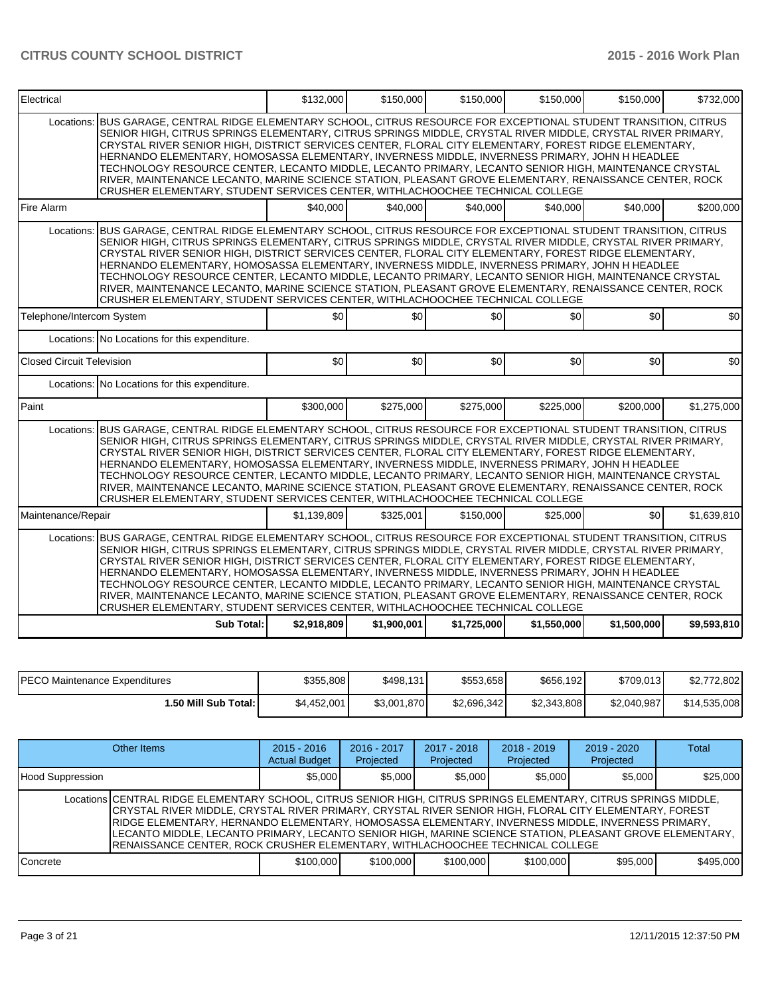| Electrical                       |                                                                                                                                                                                                                                                                                                                                                                                                                                                                                                                                                                                                                                                                                                                                                   | \$132,000   | \$150,000      | \$150,000   | \$150,000   | \$150,000   | \$732,000   |  |  |  |
|----------------------------------|---------------------------------------------------------------------------------------------------------------------------------------------------------------------------------------------------------------------------------------------------------------------------------------------------------------------------------------------------------------------------------------------------------------------------------------------------------------------------------------------------------------------------------------------------------------------------------------------------------------------------------------------------------------------------------------------------------------------------------------------------|-------------|----------------|-------------|-------------|-------------|-------------|--|--|--|
| Locations:                       | BUS GARAGE, CENTRAL RIDGE ELEMENTARY SCHOOL, CITRUS RESOURCE FOR EXCEPTIONAL STUDENT TRANSITION, CITRUS<br>SENIOR HIGH, CITRUS SPRINGS ELEMENTARY, CITRUS SPRINGS MIDDLE, CRYSTAL RIVER MIDDLE, CRYSTAL RIVER PRIMARY,<br>CRYSTAL RIVER SENIOR HIGH, DISTRICT SERVICES CENTER, FLORAL CITY ELEMENTARY, FOREST RIDGE ELEMENTARY,<br>HERNANDO ELEMENTARY, HOMOSASSA ELEMENTARY, INVERNESS MIDDLE, INVERNESS PRIMARY, JOHN H HEADLEE<br>TECHNOLOGY RESOURCE CENTER, LECANTO MIDDLE, LECANTO PRIMARY, LECANTO SENIOR HIGH, MAINTENANCE CRYSTAL<br>RIVER, MAINTENANCE LECANTO, MARINE SCIENCE STATION, PLEASANT GROVE ELEMENTARY, RENAISSANCE CENTER, ROCK<br>CRUSHER ELEMENTARY, STUDENT SERVICES CENTER, WITHLACHOOCHEE TECHNICAL COLLEGE            |             |                |             |             |             |             |  |  |  |
| Fire Alarm                       |                                                                                                                                                                                                                                                                                                                                                                                                                                                                                                                                                                                                                                                                                                                                                   | \$40,000    | \$40,000       | \$40,000    | \$40,000    | \$40,000    | \$200,000   |  |  |  |
|                                  | Locations: BUS GARAGE, CENTRAL RIDGE ELEMENTARY SCHOOL, CITRUS RESOURCE FOR EXCEPTIONAL STUDENT TRANSITION, CITRUS<br>SENIOR HIGH, CITRUS SPRINGS ELEMENTARY, CITRUS SPRINGS MIDDLE, CRYSTAL RIVER MIDDLE, CRYSTAL RIVER PRIMARY,<br>CRYSTAL RIVER SENIOR HIGH, DISTRICT SERVICES CENTER, FLORAL CITY ELEMENTARY, FOREST RIDGE ELEMENTARY,<br>HERNANDO ELEMENTARY, HOMOSASSA ELEMENTARY, INVERNESS MIDDLE, INVERNESS PRIMARY, JOHN H HEADLEE<br>TECHNOLOGY RESOURCE CENTER, LECANTO MIDDLE, LECANTO PRIMARY, LECANTO SENIOR HIGH, MAINTENANCE CRYSTAL<br>RIVER, MAINTENANCE LECANTO, MARINE SCIENCE STATION, PLEASANT GROVE ELEMENTARY, RENAISSANCE CENTER, ROCK<br>CRUSHER ELEMENTARY, STUDENT SERVICES CENTER, WITHLACHOOCHEE TECHNICAL COLLEGE |             |                |             |             |             |             |  |  |  |
| Telephone/Intercom System        |                                                                                                                                                                                                                                                                                                                                                                                                                                                                                                                                                                                                                                                                                                                                                   | \$0         | $\frac{1}{20}$ | \$0         | \$0         | \$0         | \$0         |  |  |  |
|                                  | Locations: No Locations for this expenditure.                                                                                                                                                                                                                                                                                                                                                                                                                                                                                                                                                                                                                                                                                                     |             |                |             |             |             |             |  |  |  |
| <b>Closed Circuit Television</b> |                                                                                                                                                                                                                                                                                                                                                                                                                                                                                                                                                                                                                                                                                                                                                   | \$0         | \$0            | 30          | \$0         | \$0         | \$0         |  |  |  |
|                                  | Locations: No Locations for this expenditure.                                                                                                                                                                                                                                                                                                                                                                                                                                                                                                                                                                                                                                                                                                     |             |                |             |             |             |             |  |  |  |
| Paint                            |                                                                                                                                                                                                                                                                                                                                                                                                                                                                                                                                                                                                                                                                                                                                                   | \$300,000   | \$275,000      | \$275,000   | \$225,000   | \$200,000   | \$1,275,000 |  |  |  |
|                                  | Locations: BUS GARAGE, CENTRAL RIDGE ELEMENTARY SCHOOL, CITRUS RESOURCE FOR EXCEPTIONAL STUDENT TRANSITION, CITRUS<br>SENIOR HIGH, CITRUS SPRINGS ELEMENTARY, CITRUS SPRINGS MIDDLE, CRYSTAL RIVER MIDDLE, CRYSTAL RIVER PRIMARY,<br>CRYSTAL RIVER SENIOR HIGH, DISTRICT SERVICES CENTER, FLORAL CITY ELEMENTARY, FOREST RIDGE ELEMENTARY,<br>HERNANDO ELEMENTARY, HOMOSASSA ELEMENTARY, INVERNESS MIDDLE, INVERNESS PRIMARY, JOHN H HEADLEE<br>TECHNOLOGY RESOURCE CENTER, LECANTO MIDDLE, LECANTO PRIMARY, LECANTO SENIOR HIGH, MAINTENANCE CRYSTAL<br>RIVER, MAINTENANCE LECANTO, MARINE SCIENCE STATION, PLEASANT GROVE ELEMENTARY, RENAISSANCE CENTER, ROCK<br>CRUSHER ELEMENTARY, STUDENT SERVICES CENTER, WITHLACHOOCHEE TECHNICAL COLLEGE |             |                |             |             |             |             |  |  |  |
| Maintenance/Repair               |                                                                                                                                                                                                                                                                                                                                                                                                                                                                                                                                                                                                                                                                                                                                                   | \$1.139.809 | \$325,001      | \$150,000   | \$25,000    | \$0         | \$1,639,810 |  |  |  |
|                                  | Locations: BUS GARAGE, CENTRAL RIDGE ELEMENTARY SCHOOL, CITRUS RESOURCE FOR EXCEPTIONAL STUDENT TRANSITION, CITRUS<br>SENIOR HIGH, CITRUS SPRINGS ELEMENTARY, CITRUS SPRINGS MIDDLE, CRYSTAL RIVER MIDDLE, CRYSTAL RIVER PRIMARY,<br>CRYSTAL RIVER SENIOR HIGH, DISTRICT SERVICES CENTER, FLORAL CITY ELEMENTARY, FOREST RIDGE ELEMENTARY,<br>HERNANDO ELEMENTARY, HOMOSASSA ELEMENTARY, INVERNESS MIDDLE, INVERNESS PRIMARY, JOHN H HEADLEE<br>TECHNOLOGY RESOURCE CENTER, LECANTO MIDDLE, LECANTO PRIMARY, LECANTO SENIOR HIGH, MAINTENANCE CRYSTAL<br>RIVER, MAINTENANCE LECANTO, MARINE SCIENCE STATION, PLEASANT GROVE ELEMENTARY, RENAISSANCE CENTER, ROCK<br>CRUSHER ELEMENTARY, STUDENT SERVICES CENTER, WITHLACHOOCHEE TECHNICAL COLLEGE |             |                |             |             |             |             |  |  |  |
|                                  | Sub Total:                                                                                                                                                                                                                                                                                                                                                                                                                                                                                                                                                                                                                                                                                                                                        | \$2,918,809 | \$1,900,001    | \$1,725,000 | \$1,550,000 | \$1,500,000 | \$9,593,810 |  |  |  |

| <b>PECO Maintenance Expenditures</b> | \$355,808   | \$498.131   | \$553.658   | \$656,192   | \$709,013   | \$2,772,802  |
|--------------------------------------|-------------|-------------|-------------|-------------|-------------|--------------|
| ا :50 Mill Sub Total.                | \$4,452,001 | \$3,001,870 | \$2,696,342 | \$2,343,808 | \$2,040,987 | \$14,535,008 |

|                   | Other Items                                                                                                                                                                                                                                                                                                                                                                                                                                                                                                                   | $2015 - 2016$<br><b>Actual Budget</b> | $2016 - 2017$<br>Projected | $2017 - 2018$<br>Projected | $2018 - 2019$<br>Projected | $2019 - 2020$<br>Projected | Total     |
|-------------------|-------------------------------------------------------------------------------------------------------------------------------------------------------------------------------------------------------------------------------------------------------------------------------------------------------------------------------------------------------------------------------------------------------------------------------------------------------------------------------------------------------------------------------|---------------------------------------|----------------------------|----------------------------|----------------------------|----------------------------|-----------|
| Hood Suppression  |                                                                                                                                                                                                                                                                                                                                                                                                                                                                                                                               | \$5,000                               | \$5,000                    | \$5,000                    | \$5,000                    | \$5,000                    | \$25,000  |
|                   | Locations CENTRAL RIDGE ELEMENTARY SCHOOL, CITRUS SENIOR HIGH, CITRUS SPRINGS ELEMENTARY, CITRUS SPRINGS MIDDLE,<br>CRYSTAL RIVER MIDDLE, CRYSTAL RIVER PRIMARY, CRYSTAL RIVER SENIOR HIGH, FLORAL CITY ELEMENTARY, FOREST<br>RIDGE ELEMENTARY, HERNANDO ELEMENTARY, HOMOSASSA ELEMENTARY, INVERNESS MIDDLE, INVERNESS PRIMARY,<br>LECANTO MIDDLE, LECANTO PRIMARY, LECANTO SENIOR HIGH, MARINE SCIENCE STATION, PLEASANT GROVE ELEMENTARY,<br>IRENAISSANCE CENTER. ROCK CRUSHER ELEMENTARY. WITHLACHOOCHEE TECHNICAL COLLEGE |                                       |                            |                            |                            |                            |           |
| <b>I</b> Concrete |                                                                                                                                                                                                                                                                                                                                                                                                                                                                                                                               | \$100,000                             | \$100,000                  | \$100,000                  | \$100,000                  | \$95,000                   | \$495,000 |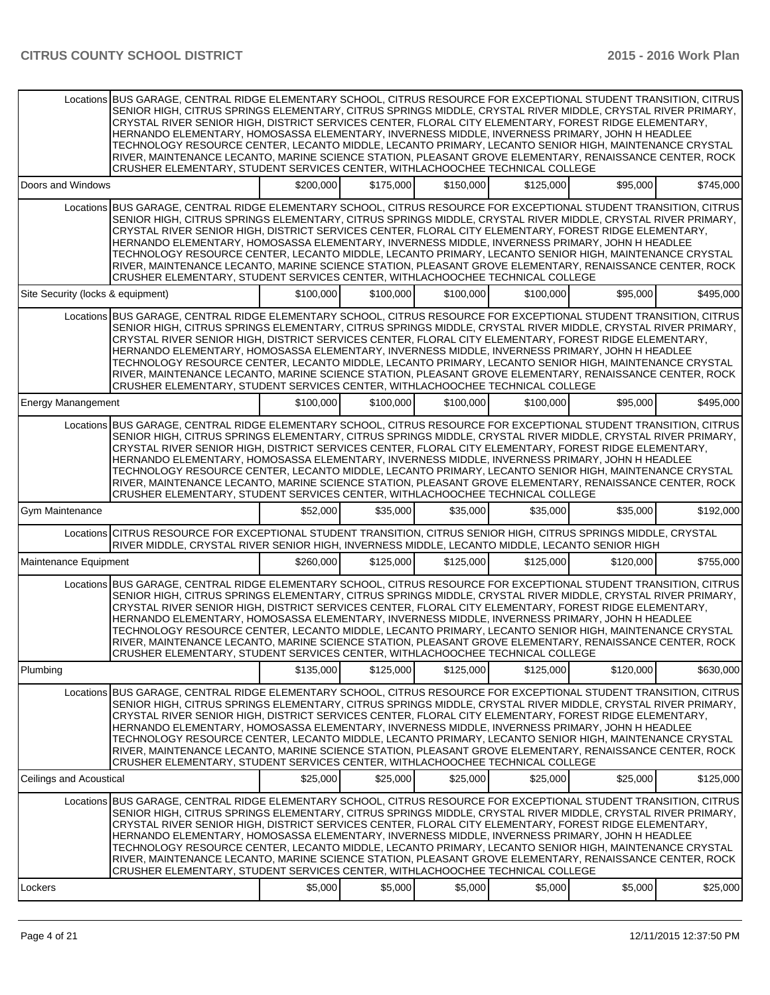| Doors and Windows<br>\$200,000<br>\$175,000<br>\$150,000<br>\$125,000<br>\$95,000<br>Locations BUS GARAGE, CENTRAL RIDGE ELEMENTARY SCHOOL, CITRUS RESOURCE FOR EXCEPTIONAL STUDENT TRANSITION, CITRUS<br>SENIOR HIGH, CITRUS SPRINGS ELEMENTARY, CITRUS SPRINGS MIDDLE, CRYSTAL RIVER MIDDLE, CRYSTAL RIVER PRIMARY,<br>CRYSTAL RIVER SENIOR HIGH, DISTRICT SERVICES CENTER, FLORAL CITY ELEMENTARY, FOREST RIDGE ELEMENTARY,<br>HERNANDO ELEMENTARY, HOMOSASSA ELEMENTARY, INVERNESS MIDDLE, INVERNESS PRIMARY, JOHN H HEADLEE<br>TECHNOLOGY RESOURCE CENTER, LECANTO MIDDLE, LECANTO PRIMARY, LECANTO SENIOR HIGH, MAINTENANCE CRYSTAL<br>RIVER, MAINTENANCE LECANTO, MARINE SCIENCE STATION, PLEASANT GROVE ELEMENTARY, RENAISSANCE CENTER, ROCK<br>CRUSHER ELEMENTARY, STUDENT SERVICES CENTER, WITHLACHOOCHEE TECHNICAL COLLEGE<br>\$100,000<br>Site Security (locks & equipment)<br>\$100,000<br>\$100,000<br>\$100,000<br>\$95,000<br>Locations BUS GARAGE, CENTRAL RIDGE ELEMENTARY SCHOOL, CITRUS RESOURCE FOR EXCEPTIONAL STUDENT TRANSITION, CITRUS<br>SENIOR HIGH, CITRUS SPRINGS ELEMENTARY, CITRUS SPRINGS MIDDLE, CRYSTAL RIVER MIDDLE, CRYSTAL RIVER PRIMARY,<br>CRYSTAL RIVER SENIOR HIGH, DISTRICT SERVICES CENTER, FLORAL CITY ELEMENTARY, FOREST RIDGE ELEMENTARY,<br>HERNANDO ELEMENTARY, HOMOSASSA ELEMENTARY, INVERNESS MIDDLE, INVERNESS PRIMARY, JOHN H HEADLEE<br>TECHNOLOGY RESOURCE CENTER. LECANTO MIDDLE, LECANTO PRIMARY, LECANTO SENIOR HIGH, MAINTENANCE CRYSTAL<br>RIVER, MAINTENANCE LECANTO, MARINE SCIENCE STATION, PLEASANT GROVE ELEMENTARY, RENAISSANCE CENTER, ROCK<br>CRUSHER ELEMENTARY, STUDENT SERVICES CENTER, WITHLACHOOCHEE TECHNICAL COLLEGE<br>\$100,000<br>\$100,000<br>\$100,000<br>\$100,000<br>\$95,000<br><b>Energy Manangement</b><br>Locations BUS GARAGE, CENTRAL RIDGE ELEMENTARY SCHOOL, CITRUS RESOURCE FOR EXCEPTIONAL STUDENT TRANSITION, CITRUS<br>SENIOR HIGH, CITRUS SPRINGS ELEMENTARY, CITRUS SPRINGS MIDDLE, CRYSTAL RIVER MIDDLE, CRYSTAL RIVER PRIMARY,<br>CRYSTAL RIVER SENIOR HIGH, DISTRICT SERVICES CENTER, FLORAL CITY ELEMENTARY, FOREST RIDGE ELEMENTARY,<br>HERNANDO ELEMENTARY, HOMOSASSA ELEMENTARY, INVERNESS MIDDLE, INVERNESS PRIMARY, JOHN H HEADLEE<br>TECHNOLOGY RESOURCE CENTER, LECANTO MIDDLE, LECANTO PRIMARY, LECANTO SENIOR HIGH, MAINTENANCE CRYSTAL<br>RIVER, MAINTENANCE LECANTO, MARINE SCIENCE STATION, PLEASANT GROVE ELEMENTARY, RENAISSANCE CENTER, ROCK<br>CRUSHER ELEMENTARY, STUDENT SERVICES CENTER, WITHLACHOOCHEE TECHNICAL COLLEGE<br>\$52,000<br>\$35,000<br>Gym Maintenance<br>\$35,000<br>\$35,000<br>\$35,000<br>Locations CITRUS RESOURCE FOR EXCEPTIONAL STUDENT TRANSITION, CITRUS SENIOR HIGH, CITRUS SPRINGS MIDDLE, CRYSTAL<br>RIVER MIDDLE, CRYSTAL RIVER SENIOR HIGH, INVERNESS MIDDLE, LECANTO MIDDLE, LECANTO SENIOR HIGH<br>\$260,000<br>\$125,000<br>\$125,000<br>\$125,000<br>\$120,000<br>Maintenance Equipment<br>Locations BUS GARAGE, CENTRAL RIDGE ELEMENTARY SCHOOL, CITRUS RESOURCE FOR EXCEPTIONAL STUDENT TRANSITION, CITRUS<br>SENIOR HIGH, CITRUS SPRINGS ELEMENTARY, CITRUS SPRINGS MIDDLE, CRYSTAL RIVER MIDDLE, CRYSTAL RIVER PRIMARY,<br>CRYSTAL RIVER SENIOR HIGH, DISTRICT SERVICES CENTER, FLORAL CITY ELEMENTARY, FOREST RIDGE ELEMENTARY,<br>HERNANDO ELEMENTARY, HOMOSASSA ELEMENTARY, INVERNESS MIDDLE, INVERNESS PRIMARY, JOHN H HEADLEE<br>TECHNOLOGY RESOURCE CENTER, LECANTO MIDDLE, LECANTO PRIMARY, LECANTO SENIOR HIGH, MAINTENANCE CRYSTAL<br>RIVER, MAINTENANCE LECANTO, MARINE SCIENCE STATION, PLEASANT GROVE ELEMENTARY, RENAISSANCE CENTER, ROCK<br>CRUSHER ELEMENTARY, STUDENT SERVICES CENTER, WITHLACHOOCHEE TECHNICAL COLLEGE<br>Plumbing<br>\$135,000<br>\$125,000<br>\$125,000<br>\$125,000<br>\$120,000<br>Locations BUS GARAGE, CENTRAL RIDGE ELEMENTARY SCHOOL, CITRUS RESOURCE FOR EXCEPTIONAL STUDENT TRANSITION, CITRUS<br>SENIOR HIGH, CITRUS SPRINGS ELEMENTARY, CITRUS SPRINGS MIDDLE, CRYSTAL RIVER MIDDLE, CRYSTAL RIVER PRIMARY,<br>CRYSTAL RIVER SENIOR HIGH, DISTRICT SERVICES CENTER, FLORAL CITY ELEMENTARY, FOREST RIDGE ELEMENTARY,<br>HERNANDO ELEMENTARY, HOMOSASSA ELEMENTARY, INVERNESS MIDDLE, INVERNESS PRIMARY, JOHN H HEADLEE<br>TECHNOLOGY RESOURCE CENTER, LECANTO MIDDLE, LECANTO PRIMARY, LECANTO SENIOR HIGH, MAINTENANCE CRYSTAL<br>RIVER, MAINTENANCE LECANTO, MARINE SCIENCE STATION, PLEASANT GROVE ELEMENTARY, RENAISSANCE CENTER, ROCK<br>CRUSHER ELEMENTARY, STUDENT SERVICES CENTER, WITHLACHOOCHEE TECHNICAL COLLEGE<br>\$25,000<br>\$25,000<br>\$25,000<br>\$25,000<br>\$25,000<br>Ceilings and Acoustical<br>Locations BUS GARAGE, CENTRAL RIDGE ELEMENTARY SCHOOL, CITRUS RESOURCE FOR EXCEPTIONAL STUDENT TRANSITION, CITRUS<br>SENIOR HIGH, CITRUS SPRINGS ELEMENTARY, CITRUS SPRINGS MIDDLE, CRYSTAL RIVER MIDDLE, CRYSTAL RIVER PRIMARY,<br>CRYSTAL RIVER SENIOR HIGH, DISTRICT SERVICES CENTER, FLORAL CITY ELEMENTARY, FOREST RIDGE ELEMENTARY,<br>HERNANDO ELEMENTARY, HOMOSASSA ELEMENTARY, INVERNESS MIDDLE, INVERNESS PRIMARY, JOHN H HEADLEE<br>TECHNOLOGY RESOURCE CENTER, LECANTO MIDDLE, LECANTO PRIMARY, LECANTO SENIOR HIGH, MAINTENANCE CRYSTAL<br>RIVER, MAINTENANCE LECANTO, MARINE SCIENCE STATION, PLEASANT GROVE ELEMENTARY, RENAISSANCE CENTER, ROCK<br>CRUSHER ELEMENTARY, STUDENT SERVICES CENTER, WITHLACHOOCHEE TECHNICAL COLLEGE |         | Locations BUS GARAGE. CENTRAL RIDGE ELEMENTARY SCHOOL. CITRUS RESOURCE FOR EXCEPTIONAL STUDENT TRANSITION. CITRUS<br>SENIOR HIGH, CITRUS SPRINGS ELEMENTARY, CITRUS SPRINGS MIDDLE, CRYSTAL RIVER MIDDLE, CRYSTAL RIVER PRIMARY,<br>CRYSTAL RIVER SENIOR HIGH, DISTRICT SERVICES CENTER, FLORAL CITY ELEMENTARY, FOREST RIDGE ELEMENTARY,<br>HERNANDO ELEMENTARY, HOMOSASSA ELEMENTARY, INVERNESS MIDDLE, INVERNESS PRIMARY, JOHN H HEADLEE<br>TECHNOLOGY RESOURCE CENTER, LECANTO MIDDLE, LECANTO PRIMARY, LECANTO SENIOR HIGH, MAINTENANCE CRYSTAL<br>RIVER, MAINTENANCE LECANTO, MARINE SCIENCE STATION, PLEASANT GROVE ELEMENTARY, RENAISSANCE CENTER, ROCK<br>CRUSHER ELEMENTARY, STUDENT SERVICES CENTER, WITHLACHOOCHEE TECHNICAL COLLEGE |         |         |         |         |         |           |
|--------------------------------------------------------------------------------------------------------------------------------------------------------------------------------------------------------------------------------------------------------------------------------------------------------------------------------------------------------------------------------------------------------------------------------------------------------------------------------------------------------------------------------------------------------------------------------------------------------------------------------------------------------------------------------------------------------------------------------------------------------------------------------------------------------------------------------------------------------------------------------------------------------------------------------------------------------------------------------------------------------------------------------------------------------------------------------------------------------------------------------------------------------------------------------------------------------------------------------------------------------------------------------------------------------------------------------------------------------------------------------------------------------------------------------------------------------------------------------------------------------------------------------------------------------------------------------------------------------------------------------------------------------------------------------------------------------------------------------------------------------------------------------------------------------------------------------------------------------------------------------------------------------------------------------------------------------------------------------------------------------------------------------------------------------------------------------------------------------------------------------------------------------------------------------------------------------------------------------------------------------------------------------------------------------------------------------------------------------------------------------------------------------------------------------------------------------------------------------------------------------------------------------------------------------------------------------------------------------------------------------------------------------------------------------------------------------------------------------------------------------------------------------------------------------------------------------------------------------------------------------------------------------------------------------------------------------------------------------------------------------------------------------------------------------------------------------------------------------------------------------------------------------------------------------------------------------------------------------------------------------------------------------------------------------------------------------------------------------------------------------------------------------------------------------------------------------------------------------------------------------------------------------------------------------------------------------------------------------------------------------------------------------------------------------------------------------------------------------------------------------------------------------------------------------------------------------------------------------------------------------------------------------------------------------------------------------------------------------------------------------------------------------------------------------------------------------------------------------------------------------------------------------------------------------------------------------------------------------------------------------------------------------------------------------------------------------------------------------------------------------------------------------------------------------------------------------------------------------------------------------------------------------------------------------------------------------------------------------------------------------------------------------------------------------------------------------------------------------------------------------------------------------------------------------------------------------------------------------------------------------------------------------------------------------------------------------------------------------------------------------------------------------------------------------------------------------------------------------------------------------------------------------------------------------------------------------------------------------------------------------------------------------------------------------------------------------------------------------------------------------|---------|--------------------------------------------------------------------------------------------------------------------------------------------------------------------------------------------------------------------------------------------------------------------------------------------------------------------------------------------------------------------------------------------------------------------------------------------------------------------------------------------------------------------------------------------------------------------------------------------------------------------------------------------------------------------------------------------------------------------------------------------------|---------|---------|---------|---------|---------|-----------|
|                                                                                                                                                                                                                                                                                                                                                                                                                                                                                                                                                                                                                                                                                                                                                                                                                                                                                                                                                                                                                                                                                                                                                                                                                                                                                                                                                                                                                                                                                                                                                                                                                                                                                                                                                                                                                                                                                                                                                                                                                                                                                                                                                                                                                                                                                                                                                                                                                                                                                                                                                                                                                                                                                                                                                                                                                                                                                                                                                                                                                                                                                                                                                                                                                                                                                                                                                                                                                                                                                                                                                                                                                                                                                                                                                                                                                                                                                                                                                                                                                                                                                                                                                                                                                                                                                                                                                                                                                                                                                                                                                                                                                                                                                                                                                                                                                                                                                                                                                                                                                                                                                                                                                                                                                                                                                                                                                                                |         |                                                                                                                                                                                                                                                                                                                                                                                                                                                                                                                                                                                                                                                                                                                                                  |         |         |         |         |         | \$745,000 |
|                                                                                                                                                                                                                                                                                                                                                                                                                                                                                                                                                                                                                                                                                                                                                                                                                                                                                                                                                                                                                                                                                                                                                                                                                                                                                                                                                                                                                                                                                                                                                                                                                                                                                                                                                                                                                                                                                                                                                                                                                                                                                                                                                                                                                                                                                                                                                                                                                                                                                                                                                                                                                                                                                                                                                                                                                                                                                                                                                                                                                                                                                                                                                                                                                                                                                                                                                                                                                                                                                                                                                                                                                                                                                                                                                                                                                                                                                                                                                                                                                                                                                                                                                                                                                                                                                                                                                                                                                                                                                                                                                                                                                                                                                                                                                                                                                                                                                                                                                                                                                                                                                                                                                                                                                                                                                                                                                                                |         |                                                                                                                                                                                                                                                                                                                                                                                                                                                                                                                                                                                                                                                                                                                                                  |         |         |         |         |         |           |
|                                                                                                                                                                                                                                                                                                                                                                                                                                                                                                                                                                                                                                                                                                                                                                                                                                                                                                                                                                                                                                                                                                                                                                                                                                                                                                                                                                                                                                                                                                                                                                                                                                                                                                                                                                                                                                                                                                                                                                                                                                                                                                                                                                                                                                                                                                                                                                                                                                                                                                                                                                                                                                                                                                                                                                                                                                                                                                                                                                                                                                                                                                                                                                                                                                                                                                                                                                                                                                                                                                                                                                                                                                                                                                                                                                                                                                                                                                                                                                                                                                                                                                                                                                                                                                                                                                                                                                                                                                                                                                                                                                                                                                                                                                                                                                                                                                                                                                                                                                                                                                                                                                                                                                                                                                                                                                                                                                                |         |                                                                                                                                                                                                                                                                                                                                                                                                                                                                                                                                                                                                                                                                                                                                                  |         |         |         |         |         | \$495,000 |
|                                                                                                                                                                                                                                                                                                                                                                                                                                                                                                                                                                                                                                                                                                                                                                                                                                                                                                                                                                                                                                                                                                                                                                                                                                                                                                                                                                                                                                                                                                                                                                                                                                                                                                                                                                                                                                                                                                                                                                                                                                                                                                                                                                                                                                                                                                                                                                                                                                                                                                                                                                                                                                                                                                                                                                                                                                                                                                                                                                                                                                                                                                                                                                                                                                                                                                                                                                                                                                                                                                                                                                                                                                                                                                                                                                                                                                                                                                                                                                                                                                                                                                                                                                                                                                                                                                                                                                                                                                                                                                                                                                                                                                                                                                                                                                                                                                                                                                                                                                                                                                                                                                                                                                                                                                                                                                                                                                                |         |                                                                                                                                                                                                                                                                                                                                                                                                                                                                                                                                                                                                                                                                                                                                                  |         |         |         |         |         |           |
|                                                                                                                                                                                                                                                                                                                                                                                                                                                                                                                                                                                                                                                                                                                                                                                                                                                                                                                                                                                                                                                                                                                                                                                                                                                                                                                                                                                                                                                                                                                                                                                                                                                                                                                                                                                                                                                                                                                                                                                                                                                                                                                                                                                                                                                                                                                                                                                                                                                                                                                                                                                                                                                                                                                                                                                                                                                                                                                                                                                                                                                                                                                                                                                                                                                                                                                                                                                                                                                                                                                                                                                                                                                                                                                                                                                                                                                                                                                                                                                                                                                                                                                                                                                                                                                                                                                                                                                                                                                                                                                                                                                                                                                                                                                                                                                                                                                                                                                                                                                                                                                                                                                                                                                                                                                                                                                                                                                |         |                                                                                                                                                                                                                                                                                                                                                                                                                                                                                                                                                                                                                                                                                                                                                  |         |         |         |         |         | \$495,000 |
|                                                                                                                                                                                                                                                                                                                                                                                                                                                                                                                                                                                                                                                                                                                                                                                                                                                                                                                                                                                                                                                                                                                                                                                                                                                                                                                                                                                                                                                                                                                                                                                                                                                                                                                                                                                                                                                                                                                                                                                                                                                                                                                                                                                                                                                                                                                                                                                                                                                                                                                                                                                                                                                                                                                                                                                                                                                                                                                                                                                                                                                                                                                                                                                                                                                                                                                                                                                                                                                                                                                                                                                                                                                                                                                                                                                                                                                                                                                                                                                                                                                                                                                                                                                                                                                                                                                                                                                                                                                                                                                                                                                                                                                                                                                                                                                                                                                                                                                                                                                                                                                                                                                                                                                                                                                                                                                                                                                |         |                                                                                                                                                                                                                                                                                                                                                                                                                                                                                                                                                                                                                                                                                                                                                  |         |         |         |         |         |           |
|                                                                                                                                                                                                                                                                                                                                                                                                                                                                                                                                                                                                                                                                                                                                                                                                                                                                                                                                                                                                                                                                                                                                                                                                                                                                                                                                                                                                                                                                                                                                                                                                                                                                                                                                                                                                                                                                                                                                                                                                                                                                                                                                                                                                                                                                                                                                                                                                                                                                                                                                                                                                                                                                                                                                                                                                                                                                                                                                                                                                                                                                                                                                                                                                                                                                                                                                                                                                                                                                                                                                                                                                                                                                                                                                                                                                                                                                                                                                                                                                                                                                                                                                                                                                                                                                                                                                                                                                                                                                                                                                                                                                                                                                                                                                                                                                                                                                                                                                                                                                                                                                                                                                                                                                                                                                                                                                                                                |         |                                                                                                                                                                                                                                                                                                                                                                                                                                                                                                                                                                                                                                                                                                                                                  |         |         |         |         |         | \$192,000 |
|                                                                                                                                                                                                                                                                                                                                                                                                                                                                                                                                                                                                                                                                                                                                                                                                                                                                                                                                                                                                                                                                                                                                                                                                                                                                                                                                                                                                                                                                                                                                                                                                                                                                                                                                                                                                                                                                                                                                                                                                                                                                                                                                                                                                                                                                                                                                                                                                                                                                                                                                                                                                                                                                                                                                                                                                                                                                                                                                                                                                                                                                                                                                                                                                                                                                                                                                                                                                                                                                                                                                                                                                                                                                                                                                                                                                                                                                                                                                                                                                                                                                                                                                                                                                                                                                                                                                                                                                                                                                                                                                                                                                                                                                                                                                                                                                                                                                                                                                                                                                                                                                                                                                                                                                                                                                                                                                                                                |         |                                                                                                                                                                                                                                                                                                                                                                                                                                                                                                                                                                                                                                                                                                                                                  |         |         |         |         |         |           |
|                                                                                                                                                                                                                                                                                                                                                                                                                                                                                                                                                                                                                                                                                                                                                                                                                                                                                                                                                                                                                                                                                                                                                                                                                                                                                                                                                                                                                                                                                                                                                                                                                                                                                                                                                                                                                                                                                                                                                                                                                                                                                                                                                                                                                                                                                                                                                                                                                                                                                                                                                                                                                                                                                                                                                                                                                                                                                                                                                                                                                                                                                                                                                                                                                                                                                                                                                                                                                                                                                                                                                                                                                                                                                                                                                                                                                                                                                                                                                                                                                                                                                                                                                                                                                                                                                                                                                                                                                                                                                                                                                                                                                                                                                                                                                                                                                                                                                                                                                                                                                                                                                                                                                                                                                                                                                                                                                                                |         |                                                                                                                                                                                                                                                                                                                                                                                                                                                                                                                                                                                                                                                                                                                                                  |         |         |         |         |         | \$755,000 |
|                                                                                                                                                                                                                                                                                                                                                                                                                                                                                                                                                                                                                                                                                                                                                                                                                                                                                                                                                                                                                                                                                                                                                                                                                                                                                                                                                                                                                                                                                                                                                                                                                                                                                                                                                                                                                                                                                                                                                                                                                                                                                                                                                                                                                                                                                                                                                                                                                                                                                                                                                                                                                                                                                                                                                                                                                                                                                                                                                                                                                                                                                                                                                                                                                                                                                                                                                                                                                                                                                                                                                                                                                                                                                                                                                                                                                                                                                                                                                                                                                                                                                                                                                                                                                                                                                                                                                                                                                                                                                                                                                                                                                                                                                                                                                                                                                                                                                                                                                                                                                                                                                                                                                                                                                                                                                                                                                                                |         |                                                                                                                                                                                                                                                                                                                                                                                                                                                                                                                                                                                                                                                                                                                                                  |         |         |         |         |         |           |
|                                                                                                                                                                                                                                                                                                                                                                                                                                                                                                                                                                                                                                                                                                                                                                                                                                                                                                                                                                                                                                                                                                                                                                                                                                                                                                                                                                                                                                                                                                                                                                                                                                                                                                                                                                                                                                                                                                                                                                                                                                                                                                                                                                                                                                                                                                                                                                                                                                                                                                                                                                                                                                                                                                                                                                                                                                                                                                                                                                                                                                                                                                                                                                                                                                                                                                                                                                                                                                                                                                                                                                                                                                                                                                                                                                                                                                                                                                                                                                                                                                                                                                                                                                                                                                                                                                                                                                                                                                                                                                                                                                                                                                                                                                                                                                                                                                                                                                                                                                                                                                                                                                                                                                                                                                                                                                                                                                                |         |                                                                                                                                                                                                                                                                                                                                                                                                                                                                                                                                                                                                                                                                                                                                                  |         |         |         |         |         | \$630,000 |
|                                                                                                                                                                                                                                                                                                                                                                                                                                                                                                                                                                                                                                                                                                                                                                                                                                                                                                                                                                                                                                                                                                                                                                                                                                                                                                                                                                                                                                                                                                                                                                                                                                                                                                                                                                                                                                                                                                                                                                                                                                                                                                                                                                                                                                                                                                                                                                                                                                                                                                                                                                                                                                                                                                                                                                                                                                                                                                                                                                                                                                                                                                                                                                                                                                                                                                                                                                                                                                                                                                                                                                                                                                                                                                                                                                                                                                                                                                                                                                                                                                                                                                                                                                                                                                                                                                                                                                                                                                                                                                                                                                                                                                                                                                                                                                                                                                                                                                                                                                                                                                                                                                                                                                                                                                                                                                                                                                                |         |                                                                                                                                                                                                                                                                                                                                                                                                                                                                                                                                                                                                                                                                                                                                                  |         |         |         |         |         |           |
|                                                                                                                                                                                                                                                                                                                                                                                                                                                                                                                                                                                                                                                                                                                                                                                                                                                                                                                                                                                                                                                                                                                                                                                                                                                                                                                                                                                                                                                                                                                                                                                                                                                                                                                                                                                                                                                                                                                                                                                                                                                                                                                                                                                                                                                                                                                                                                                                                                                                                                                                                                                                                                                                                                                                                                                                                                                                                                                                                                                                                                                                                                                                                                                                                                                                                                                                                                                                                                                                                                                                                                                                                                                                                                                                                                                                                                                                                                                                                                                                                                                                                                                                                                                                                                                                                                                                                                                                                                                                                                                                                                                                                                                                                                                                                                                                                                                                                                                                                                                                                                                                                                                                                                                                                                                                                                                                                                                |         |                                                                                                                                                                                                                                                                                                                                                                                                                                                                                                                                                                                                                                                                                                                                                  |         |         |         |         |         | \$125,000 |
|                                                                                                                                                                                                                                                                                                                                                                                                                                                                                                                                                                                                                                                                                                                                                                                                                                                                                                                                                                                                                                                                                                                                                                                                                                                                                                                                                                                                                                                                                                                                                                                                                                                                                                                                                                                                                                                                                                                                                                                                                                                                                                                                                                                                                                                                                                                                                                                                                                                                                                                                                                                                                                                                                                                                                                                                                                                                                                                                                                                                                                                                                                                                                                                                                                                                                                                                                                                                                                                                                                                                                                                                                                                                                                                                                                                                                                                                                                                                                                                                                                                                                                                                                                                                                                                                                                                                                                                                                                                                                                                                                                                                                                                                                                                                                                                                                                                                                                                                                                                                                                                                                                                                                                                                                                                                                                                                                                                | Lockers |                                                                                                                                                                                                                                                                                                                                                                                                                                                                                                                                                                                                                                                                                                                                                  | \$5,000 | \$5,000 | \$5,000 | \$5,000 | \$5,000 | \$25,000  |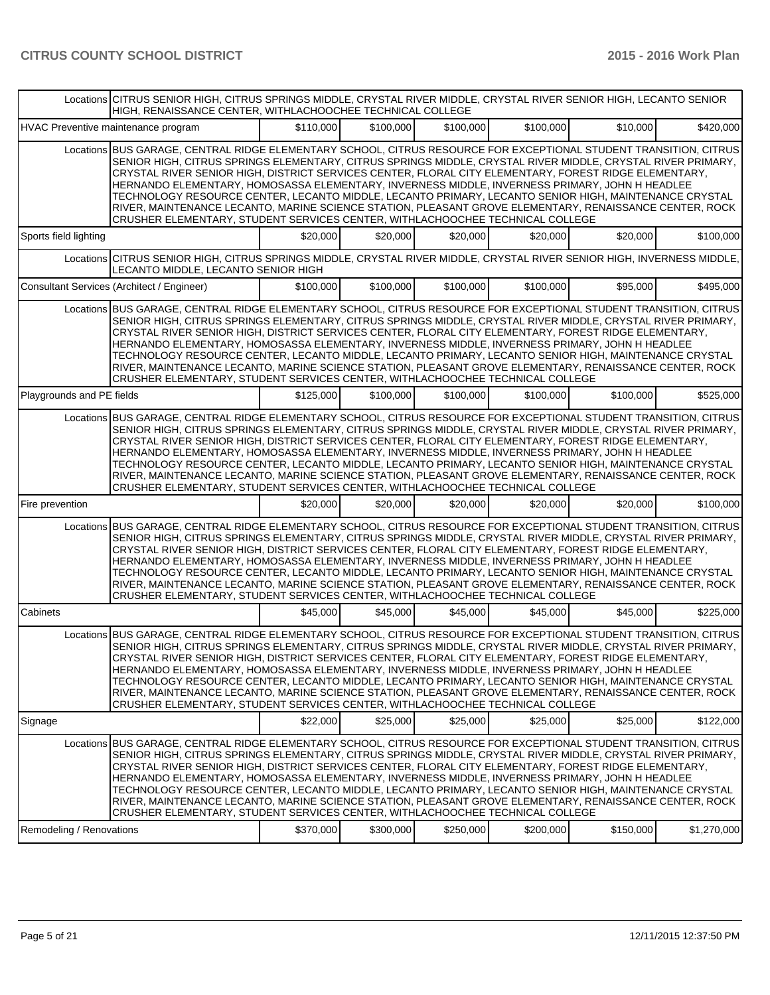|                           | Locations CITRUS SENIOR HIGH, CITRUS SPRINGS MIDDLE, CRYSTAL RIVER MIDDLE, CRYSTAL RIVER SENIOR HIGH, LECANTO SENIOR<br>HIIGH. RENAISSANCE CENTER. WITHLACHOOCHEE TECHNICAL COLLEGE                                                                                                                                                                                                                                                                                                                                                                                                                                                                                                                                                              |           |           |           |           |           |             |  |  |
|---------------------------|--------------------------------------------------------------------------------------------------------------------------------------------------------------------------------------------------------------------------------------------------------------------------------------------------------------------------------------------------------------------------------------------------------------------------------------------------------------------------------------------------------------------------------------------------------------------------------------------------------------------------------------------------------------------------------------------------------------------------------------------------|-----------|-----------|-----------|-----------|-----------|-------------|--|--|
|                           | HVAC Preventive maintenance program                                                                                                                                                                                                                                                                                                                                                                                                                                                                                                                                                                                                                                                                                                              | \$110,000 | \$100,000 | \$100,000 | \$100,000 | \$10,000  | \$420,000   |  |  |
|                           | Locations BUS GARAGE, CENTRAL RIDGE ELEMENTARY SCHOOL, CITRUS RESOURCE FOR EXCEPTIONAL STUDENT TRANSITION, CITRUS<br>SENIOR HIGH, CITRUS SPRINGS ELEMENTARY, CITRUS SPRINGS MIDDLE, CRYSTAL RIVER MIDDLE, CRYSTAL RIVER PRIMARY,<br>CRYSTAL RIVER SENIOR HIGH, DISTRICT SERVICES CENTER, FLORAL CITY ELEMENTARY, FOREST RIDGE ELEMENTARY,<br>HERNANDO ELEMENTARY, HOMOSASSA ELEMENTARY, INVERNESS MIDDLE, INVERNESS PRIMARY, JOHN H HEADLEE<br>TECHNOLOGY RESOURCE CENTER, LECANTO MIDDLE, LECANTO PRIMARY, LECANTO SENIOR HIGH, MAINTENANCE CRYSTAL<br>RIVER, MAINTENANCE LECANTO, MARINE SCIENCE STATION, PLEASANT GROVE ELEMENTARY, RENAISSANCE CENTER, ROCK<br>CRUSHER ELEMENTARY, STUDENT SERVICES CENTER, WITHLACHOOCHEE TECHNICAL COLLEGE |           |           |           |           |           |             |  |  |
| Sports field lighting     |                                                                                                                                                                                                                                                                                                                                                                                                                                                                                                                                                                                                                                                                                                                                                  | \$20.000  | \$20,000  | \$20,000  | \$20,000  | \$20,000  | \$100,000   |  |  |
|                           | Locations CITRUS SENIOR HIGH, CITRUS SPRINGS MIDDLE, CRYSTAL RIVER MIDDLE, CRYSTAL RIVER SENIOR HIGH, INVERNESS MIDDLE,<br>LECANTO MIDDLE, LECANTO SENIOR HIGH                                                                                                                                                                                                                                                                                                                                                                                                                                                                                                                                                                                   |           |           |           |           |           |             |  |  |
|                           | Consultant Services (Architect / Engineer)                                                                                                                                                                                                                                                                                                                                                                                                                                                                                                                                                                                                                                                                                                       | \$100,000 | \$100,000 | \$100,000 | \$100,000 | \$95,000  | \$495,000   |  |  |
|                           | Locations BUS GARAGE, CENTRAL RIDGE ELEMENTARY SCHOOL, CITRUS RESOURCE FOR EXCEPTIONAL STUDENT TRANSITION, CITRUS<br>SENIOR HIGH, CITRUS SPRINGS ELEMENTARY, CITRUS SPRINGS MIDDLE, CRYSTAL RIVER MIDDLE, CRYSTAL RIVER PRIMARY,<br>CRYSTAL RIVER SENIOR HIGH, DISTRICT SERVICES CENTER, FLORAL CITY ELEMENTARY, FOREST RIDGE ELEMENTARY,<br>HERNANDO ELEMENTARY, HOMOSASSA ELEMENTARY, INVERNESS MIDDLE, INVERNESS PRIMARY, JOHN H HEADLEE<br>TECHNOLOGY RESOURCE CENTER, LECANTO MIDDLE, LECANTO PRIMARY, LECANTO SENIOR HIGH, MAINTENANCE CRYSTAL<br>RIVER, MAINTENANCE LECANTO, MARINE SCIENCE STATION, PLEASANT GROVE ELEMENTARY, RENAISSANCE CENTER, ROCK<br>CRUSHER ELEMENTARY, STUDENT SERVICES CENTER, WITHLACHOOCHEE TECHNICAL COLLEGE |           |           |           |           |           |             |  |  |
| Playgrounds and PE fields |                                                                                                                                                                                                                                                                                                                                                                                                                                                                                                                                                                                                                                                                                                                                                  | \$125,000 | \$100,000 | \$100,000 | \$100,000 | \$100,000 | \$525,000   |  |  |
|                           | Locations BUS GARAGE, CENTRAL RIDGE ELEMENTARY SCHOOL, CITRUS RESOURCE FOR EXCEPTIONAL STUDENT TRANSITION, CITRUS<br>SENIOR HIGH, CITRUS SPRINGS ELEMENTARY, CITRUS SPRINGS MIDDLE, CRYSTAL RIVER MIDDLE, CRYSTAL RIVER PRIMARY,<br>CRYSTAL RIVER SENIOR HIGH, DISTRICT SERVICES CENTER, FLORAL CITY ELEMENTARY, FOREST RIDGE ELEMENTARY,<br>HERNANDO ELEMENTARY, HOMOSASSA ELEMENTARY, INVERNESS MIDDLE, INVERNESS PRIMARY, JOHN H HEADLEE<br>TECHNOLOGY RESOURCE CENTER, LECANTO MIDDLE, LECANTO PRIMARY, LECANTO SENIOR HIGH, MAINTENANCE CRYSTAL<br>RIVER, MAINTENANCE LECANTO, MARINE SCIENCE STATION, PLEASANT GROVE ELEMENTARY, RENAISSANCE CENTER, ROCK<br>CRUSHER ELEMENTARY, STUDENT SERVICES CENTER, WITHLACHOOCHEE TECHNICAL COLLEGE |           |           |           |           |           |             |  |  |
| Fire prevention           |                                                                                                                                                                                                                                                                                                                                                                                                                                                                                                                                                                                                                                                                                                                                                  | \$20,000  | \$20,000  | \$20,000  | \$20,000  | \$20,000  | \$100,000   |  |  |
|                           | Locations BUS GARAGE, CENTRAL RIDGE ELEMENTARY SCHOOL, CITRUS RESOURCE FOR EXCEPTIONAL STUDENT TRANSITION, CITRUS<br>SENIOR HIGH, CITRUS SPRINGS ELEMENTARY, CITRUS SPRINGS MIDDLE, CRYSTAL RIVER MIDDLE, CRYSTAL RIVER PRIMARY,<br>CRYSTAL RIVER SENIOR HIGH, DISTRICT SERVICES CENTER, FLORAL CITY ELEMENTARY, FOREST RIDGE ELEMENTARY,<br>HERNANDO ELEMENTARY, HOMOSASSA ELEMENTARY, INVERNESS MIDDLE, INVERNESS PRIMARY, JOHN H HEADLEE<br>TECHNOLOGY RESOURCE CENTER, LECANTO MIDDLE, LECANTO PRIMARY, LECANTO SENIOR HIGH, MAINTENANCE CRYSTAL<br>RIVER, MAINTENANCE LECANTO, MARINE SCIENCE STATION, PLEASANT GROVE ELEMENTARY, RENAISSANCE CENTER, ROCK<br>CRUSHER ELEMENTARY, STUDENT SERVICES CENTER, WITHLACHOOCHEE TECHNICAL COLLEGE |           |           |           |           |           |             |  |  |
| Cabinets                  |                                                                                                                                                                                                                                                                                                                                                                                                                                                                                                                                                                                                                                                                                                                                                  | \$45,000  | \$45.000  | \$45,000  | \$45,000  | \$45,000  | \$225,000   |  |  |
|                           | Locations BUS GARAGE, CENTRAL RIDGE ELEMENTARY SCHOOL, CITRUS RESOURCE FOR EXCEPTIONAL STUDENT TRANSITION, CITRUS<br>SENIOR HIGH, CITRUS SPRINGS ELEMENTARY, CITRUS SPRINGS MIDDLE, CRYSTAL RIVER MIDDLE, CRYSTAL RIVER PRIMARY,<br>CRYSTAL RIVER SENIOR HIGH, DISTRICT SERVICES CENTER, FLORAL CITY ELEMENTARY, FOREST RIDGE ELEMENTARY,<br>HERNANDO ELEMENTARY, HOMOSASSA ELEMENTARY, INVERNESS MIDDLE, INVERNESS PRIMARY, JOHN H HEADLEE<br>TECHNOLOGY RESOURCE CENTER, LECANTO MIDDLE, LECANTO PRIMARY, LECANTO SENIOR HIGH, MAINTENANCE CRYSTAL<br>RIVER, MAINTENANCE LECANTO, MARINE SCIENCE STATION, PLEASANT GROVE ELEMENTARY, RENAISSANCE CENTER, ROCK<br>CRUSHER ELEMENTARY, STUDENT SERVICES CENTER, WITHLACHOOCHEE TECHNICAL COLLEGE |           |           |           |           |           |             |  |  |
| Signage                   |                                                                                                                                                                                                                                                                                                                                                                                                                                                                                                                                                                                                                                                                                                                                                  | \$22,000  | \$25,000  | \$25,000  | \$25,000  | \$25,000  | \$122,000   |  |  |
|                           | Locations BUS GARAGE. CENTRAL RIDGE ELEMENTARY SCHOOL. CITRUS RESOURCE FOR EXCEPTIONAL STUDENT TRANSITION. CITRUS<br>SENIOR HIGH, CITRUS SPRINGS ELEMENTARY, CITRUS SPRINGS MIDDLE, CRYSTAL RIVER MIDDLE, CRYSTAL RIVER PRIMARY,<br>CRYSTAL RIVER SENIOR HIGH, DISTRICT SERVICES CENTER, FLORAL CITY ELEMENTARY, FOREST RIDGE ELEMENTARY,<br>HERNANDO ELEMENTARY, HOMOSASSA ELEMENTARY, INVERNESS MIDDLE, INVERNESS PRIMARY, JOHN H HEADLEE<br>TECHNOLOGY RESOURCE CENTER, LECANTO MIDDLE, LECANTO PRIMARY, LECANTO SENIOR HIGH, MAINTENANCE CRYSTAL<br>RIVER, MAINTENANCE LECANTO, MARINE SCIENCE STATION, PLEASANT GROVE ELEMENTARY, RENAISSANCE CENTER, ROCK<br>CRUSHER ELEMENTARY, STUDENT SERVICES CENTER, WITHLACHOOCHEE TECHNICAL COLLEGE |           |           |           |           |           |             |  |  |
| Remodeling / Renovations  |                                                                                                                                                                                                                                                                                                                                                                                                                                                                                                                                                                                                                                                                                                                                                  | \$370,000 | \$300,000 | \$250,000 | \$200,000 | \$150,000 | \$1,270,000 |  |  |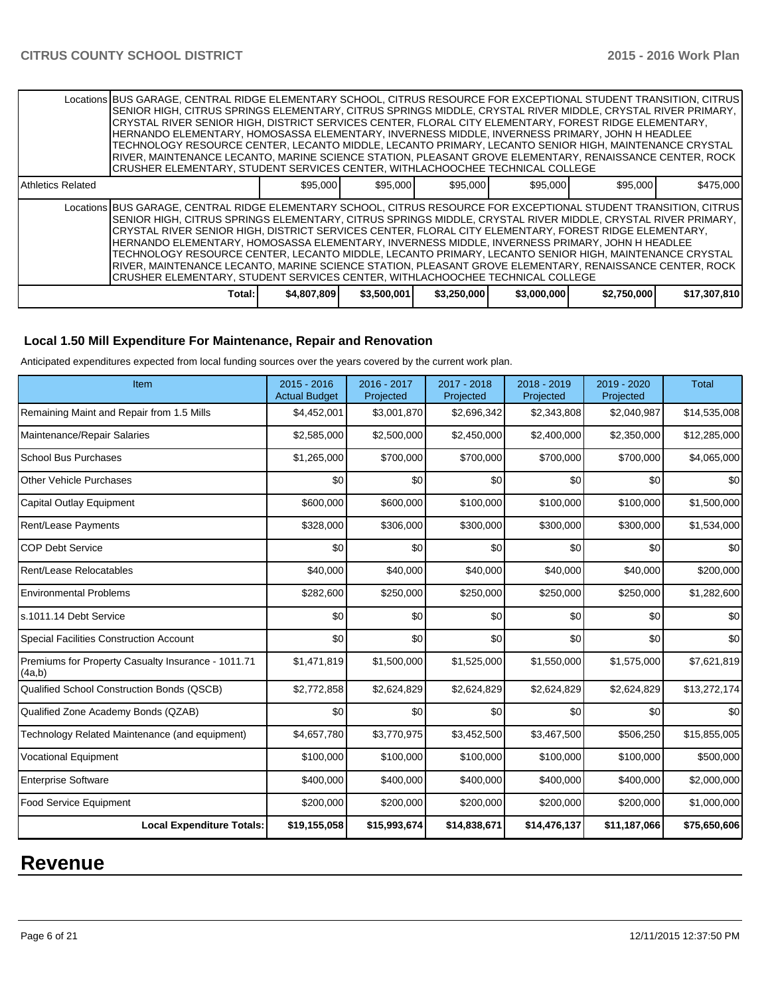|                   | Locations BUS GARAGE, CENTRAL RIDGE ELEMENTARY SCHOOL, CITRUS RESOURCE FOR EXCEPTIONAL STUDENT TRANSITION, CITRUS<br>SENIOR HIGH, CITRUS SPRINGS ELEMENTARY, CITRUS SPRINGS MIDDLE, CRYSTAL RIVER MIDDLE, CRYSTAL RIVER PRIMARY,<br>İCRYSTAL RIVER SENIOR HIGH. DISTRICT SERVICES CENTER. FLORAL CITY ELEMENTARY. FOREST RIDGE ELEMENTARY.<br>HERNANDO ELEMENTARY, HOMOSASSA ELEMENTARY, INVERNESS MIDDLE, INVERNESS PRIMARY, JOHN H HEADLEE<br>TECHNOLOGY RESOURCE CENTER. LECANTO MIDDLE. LECANTO PRIMARY. LECANTO SENIOR HIGH. MAINTENANCE CRYSTAL<br>IRIVER, MAINTENANCE LECANTO, MARINE SCIENCE STATION, PLEASANT GROVE ELEMENTARY, RENAISSANCE CENTER, ROCK<br> CRUSHER ELEMENTARY, STUDENT SERVICES CENTER, WITHLACHOOCHEE TECHNICAL COLLEGE   |             |             |             |             |             |              |
|-------------------|-------------------------------------------------------------------------------------------------------------------------------------------------------------------------------------------------------------------------------------------------------------------------------------------------------------------------------------------------------------------------------------------------------------------------------------------------------------------------------------------------------------------------------------------------------------------------------------------------------------------------------------------------------------------------------------------------------------------------------------------------------|-------------|-------------|-------------|-------------|-------------|--------------|
| Athletics Related |                                                                                                                                                                                                                                                                                                                                                                                                                                                                                                                                                                                                                                                                                                                                                       | \$95,000    | \$95.000    | \$95,000    | \$95,000    | \$95,000    | \$475,000    |
|                   | Locations BUS GARAGE, CENTRAL RIDGE ELEMENTARY SCHOOL, CITRUS RESOURCE FOR EXCEPTIONAL STUDENT TRANSITION, CITRUS<br>ISENIOR HIGH. CITRUS SPRINGS ELEMENTARY. CITRUS SPRINGS MIDDLE. CRYSTAL RIVER MIDDLE. CRYSTAL RIVER PRIMARY.<br>CRYSTAL RIVER SENIOR HIGH, DISTRICT SERVICES CENTER, FLORAL CITY ELEMENTARY, FOREST RIDGE ELEMENTARY,<br>IHERNANDO ELEMENTARY. HOMOSASSA ELEMENTARY. INVERNESS MIDDLE. INVERNESS PRIMARY. JOHN H HEADLEE<br>TECHNOLOGY RESOURCE CENTER, LECANTO MIDDLE, LECANTO PRIMARY, LECANTO SENIOR HIGH, MAINTENANCE CRYSTAL<br>RIVER, MAINTENANCE LECANTO, MARINE SCIENCE STATION, PLEASANT GROVE ELEMENTARY, RENAISSANCE CENTER, ROCK  <br>ICRUSHER ELEMENTARY. STUDENT SERVICES CENTER. WITHLACHOOCHEE TECHNICAL COLLEGE |             |             |             |             |             |              |
|                   | Total:                                                                                                                                                                                                                                                                                                                                                                                                                                                                                                                                                                                                                                                                                                                                                | \$4,807,809 | \$3,500,001 | \$3,250,000 | \$3,000,000 | \$2,750,000 | \$17,307,810 |

### **Local 1.50 Mill Expenditure For Maintenance, Repair and Renovation**

Anticipated expenditures expected from local funding sources over the years covered by the current work plan.

| Item                                                         | 2015 - 2016<br><b>Actual Budget</b> | 2016 - 2017<br>Projected | 2017 - 2018<br>Projected | 2018 - 2019<br>Projected | $2019 - 2020$<br>Projected | <b>Total</b> |
|--------------------------------------------------------------|-------------------------------------|--------------------------|--------------------------|--------------------------|----------------------------|--------------|
| Remaining Maint and Repair from 1.5 Mills                    | \$4,452,001                         | \$3,001,870              | \$2,696,342              | \$2,343,808              | \$2,040,987                | \$14,535,008 |
| Maintenance/Repair Salaries                                  | \$2,585,000                         | \$2,500,000              | \$2,450,000              | \$2,400,000              | \$2,350,000                | \$12,285,000 |
| <b>School Bus Purchases</b>                                  | \$1,265,000                         | \$700,000                | \$700,000                | \$700,000                | \$700,000                  | \$4,065,000  |
| <b>Other Vehicle Purchases</b>                               | \$0                                 | \$0                      | \$0                      | \$0                      | \$0                        | \$0          |
| <b>Capital Outlay Equipment</b>                              | \$600,000                           | \$600,000                | \$100,000                | \$100,000                | \$100,000                  | \$1,500,000  |
| Rent/Lease Payments                                          | \$328,000                           | \$306,000                | \$300,000                | \$300,000                | \$300,000                  | \$1,534,000  |
| <b>COP Debt Service</b>                                      | \$0                                 | \$0                      | \$0                      | \$0                      | \$0                        | \$0          |
| Rent/Lease Relocatables                                      | \$40,000                            | \$40,000                 | \$40,000                 | \$40,000                 | \$40,000                   | \$200,000    |
| <b>Environmental Problems</b>                                | \$282,600                           | \$250,000                | \$250,000                | \$250,000                | \$250,000                  | \$1,282,600  |
| s.1011.14 Debt Service                                       | \$0                                 | \$0                      | \$0                      | \$0                      | \$0                        | \$0          |
| <b>Special Facilities Construction Account</b>               | \$0                                 | \$0                      | \$0                      | \$0                      | \$0                        | \$0          |
| Premiums for Property Casualty Insurance - 1011.71<br>(4a,b) | \$1,471,819                         | \$1,500,000              | \$1,525,000              | \$1,550,000              | \$1,575,000                | \$7,621,819  |
| <b>Qualified School Construction Bonds (QSCB)</b>            | \$2,772,858                         | \$2,624,829              | \$2,624,829              | \$2,624,829              | \$2,624,829                | \$13,272,174 |
| Qualified Zone Academy Bonds (QZAB)                          | \$0                                 | \$0                      | \$0                      | \$0                      | \$0                        | \$0          |
| Technology Related Maintenance (and equipment)               | \$4,657,780                         | \$3,770,975              | \$3,452,500              | \$3,467,500              | \$506,250                  | \$15,855,005 |
| <b>Vocational Equipment</b>                                  | \$100,000                           | \$100,000                | \$100,000                | \$100,000                | \$100,000                  | \$500,000    |
| <b>Enterprise Software</b>                                   | \$400,000                           | \$400,000                | \$400,000                | \$400,000                | \$400,000                  | \$2,000,000  |
| <b>Food Service Equipment</b>                                | \$200,000                           | \$200,000                | \$200,000                | \$200,000                | \$200,000                  | \$1,000,000  |
| <b>Local Expenditure Totals:</b>                             | \$19,155,058                        | \$15,993,674             | \$14,838,671             | \$14,476,137             | \$11,187,066               | \$75,650,606 |

# **Revenue**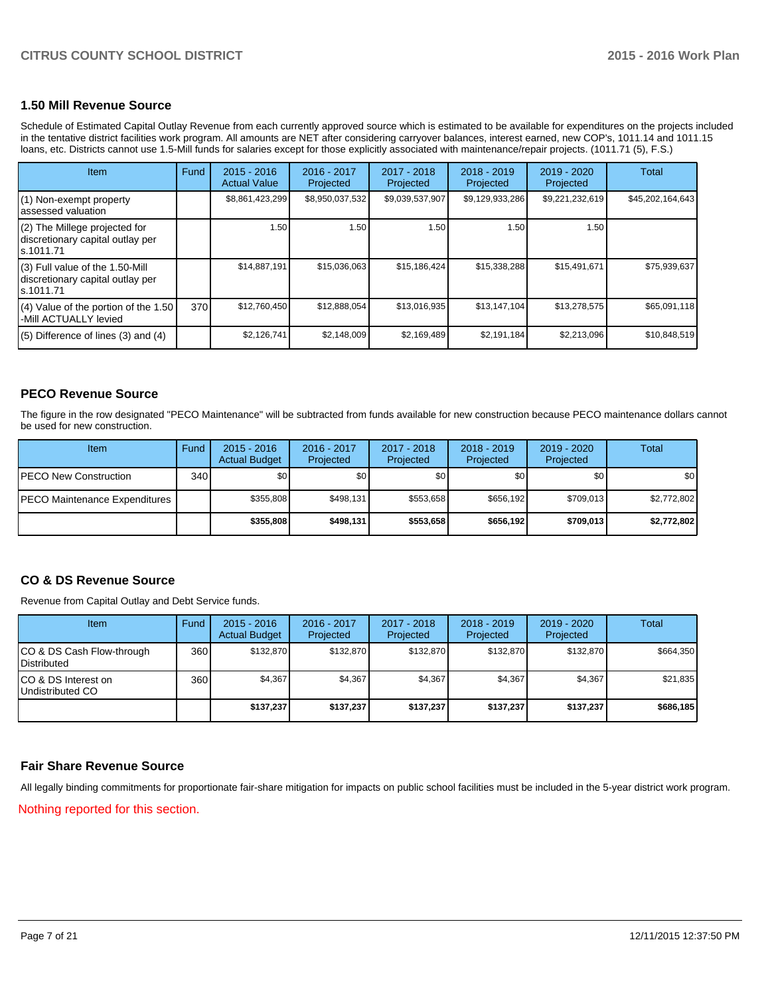#### **1.50 Mill Revenue Source**

Schedule of Estimated Capital Outlay Revenue from each currently approved source which is estimated to be available for expenditures on the projects included in the tentative district facilities work program. All amounts are NET after considering carryover balances, interest earned, new COP's, 1011.14 and 1011.15 loans, etc. Districts cannot use 1.5-Mill funds for salaries except for those explicitly associated with maintenance/repair projects. (1011.71 (5), F.S.)

| Item                                                                              | Fund | $2015 - 2016$<br><b>Actual Value</b> | 2016 - 2017<br>Projected | 2017 - 2018<br>Projected | $2018 - 2019$<br>Projected | 2019 - 2020<br>Projected | Total            |
|-----------------------------------------------------------------------------------|------|--------------------------------------|--------------------------|--------------------------|----------------------------|--------------------------|------------------|
| (1) Non-exempt property<br>lassessed valuation                                    |      | \$8,861,423,299                      | \$8,950,037,532          | \$9,039,537,907          | \$9,129,933,286            | \$9,221,232,619          | \$45,202,164,643 |
| (2) The Millege projected for<br>discretionary capital outlay per<br>ls.1011.71   |      | 1.50                                 | 1.50                     | 1.50                     | 1.50                       | 1.50                     |                  |
| (3) Full value of the 1.50-Mill<br>discretionary capital outlay per<br>ls.1011.71 |      | \$14,887,191                         | \$15,036,063             | \$15,186,424             | \$15,338,288               | \$15,491,671             | \$75,939,637     |
| $(4)$ Value of the portion of the 1.50<br>-Mill ACTUALLY levied                   | 370  | \$12,760,450                         | \$12,888,054             | \$13,016,935             | \$13,147,104               | \$13,278,575             | \$65,091,118     |
| $(5)$ Difference of lines (3) and (4)                                             |      | \$2,126,741                          | \$2,148,009              | \$2,169,489              | \$2,191,184                | \$2,213,096              | \$10,848,519     |

#### **PECO Revenue Source**

The figure in the row designated "PECO Maintenance" will be subtracted from funds available for new construction because PECO maintenance dollars cannot be used for new construction.

| Item                                  | Fund  | $2015 - 2016$<br><b>Actual Budget</b> | 2016 - 2017<br>Projected | 2017 - 2018<br>Projected | $2018 - 2019$<br>Projected | $2019 - 2020$<br>Projected | Total       |
|---------------------------------------|-------|---------------------------------------|--------------------------|--------------------------|----------------------------|----------------------------|-------------|
| <b>PECO New Construction</b>          | 340 l | \$0 <sub>1</sub>                      | \$0                      | \$0 <sub>1</sub>         | \$0 <sub>0</sub>           | \$0                        | \$0         |
| <b>IPECO Maintenance Expenditures</b> |       | \$355.808                             | \$498.131                | \$553.658                | \$656.192                  | \$709.013                  | \$2,772,802 |
|                                       |       | \$355,808                             | \$498,131                | \$553,658                | \$656.192                  | \$709.013                  | \$2,772,802 |

#### **CO & DS Revenue Source**

Revenue from Capital Outlay and Debt Service funds.

| Item                                            | Fund | $2015 - 2016$<br><b>Actual Budget</b> | $2016 - 2017$<br>Projected | $2017 - 2018$<br>Projected | $2018 - 2019$<br>Projected | $2019 - 2020$<br>Projected | Total     |
|-------------------------------------------------|------|---------------------------------------|----------------------------|----------------------------|----------------------------|----------------------------|-----------|
| CO & DS Cash Flow-through<br><b>Distributed</b> | 360  | \$132.870                             | \$132,870                  | \$132,870                  | \$132,870                  | \$132,870                  | \$664,350 |
| CO & DS Interest on<br>Undistributed CO         | 360  | \$4,367                               | \$4,367                    | \$4,367                    | \$4,367                    | \$4,367                    | \$21,835  |
|                                                 |      | \$137,237                             | \$137,237                  | \$137,237                  | \$137,237                  | \$137,237                  | \$686,185 |

#### **Fair Share Revenue Source**

All legally binding commitments for proportionate fair-share mitigation for impacts on public school facilities must be included in the 5-year district work program.

Nothing reported for this section.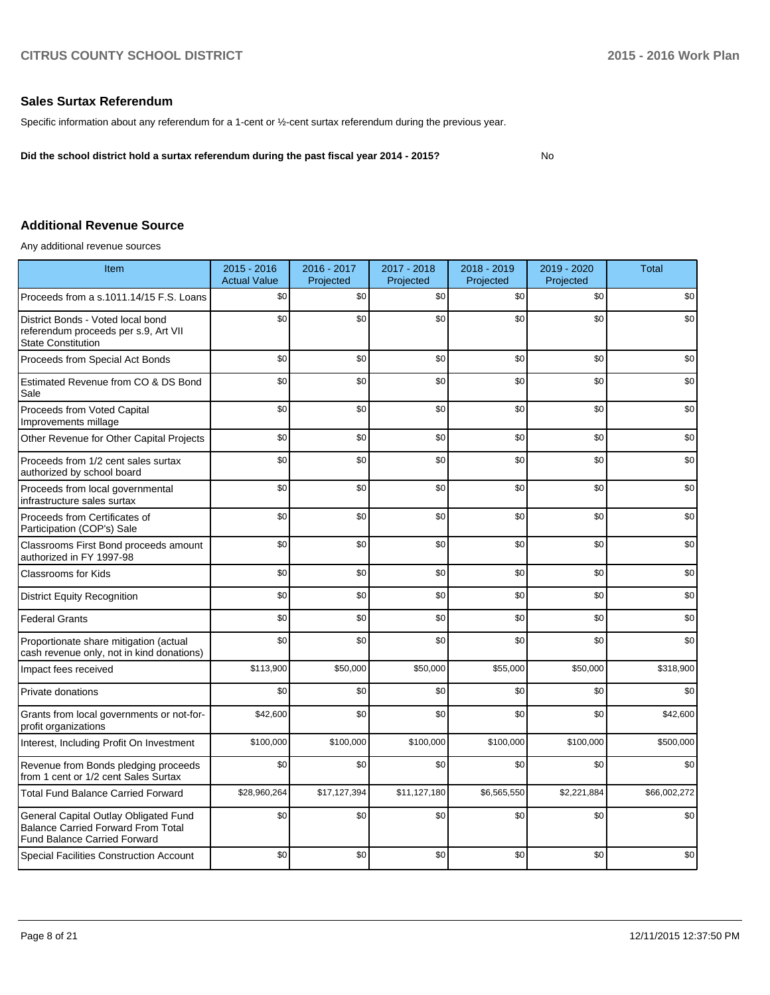#### **Sales Surtax Referendum**

Specific information about any referendum for a 1-cent or ½-cent surtax referendum during the previous year.

**Did the school district hold a surtax referendum during the past fiscal year 2014 - 2015?**

No

#### **Additional Revenue Source**

Any additional revenue sources

| Item                                                                                                                      | 2015 - 2016<br><b>Actual Value</b> | 2016 - 2017<br>Projected | 2017 - 2018<br>Projected | 2018 - 2019<br>Projected | 2019 - 2020<br>Projected | <b>Total</b> |
|---------------------------------------------------------------------------------------------------------------------------|------------------------------------|--------------------------|--------------------------|--------------------------|--------------------------|--------------|
| Proceeds from a s.1011.14/15 F.S. Loans                                                                                   | \$0                                | \$0                      | \$0                      | \$0                      | \$0                      | \$0          |
| District Bonds - Voted local bond<br>referendum proceeds per s.9, Art VII<br><b>State Constitution</b>                    | \$0                                | \$0                      | \$0                      | \$0                      | \$0                      | \$0          |
| Proceeds from Special Act Bonds                                                                                           | \$0                                | \$0                      | \$0                      | \$0                      | \$0                      | \$0          |
| Estimated Revenue from CO & DS Bond<br>Sale                                                                               | \$0                                | \$0                      | \$0                      | \$0                      | \$0                      | \$0          |
| Proceeds from Voted Capital<br>Improvements millage                                                                       | \$0                                | \$0                      | \$0                      | \$0                      | \$0                      | \$0          |
| Other Revenue for Other Capital Projects                                                                                  | \$0                                | \$0                      | \$0                      | \$0                      | \$0                      | \$0          |
| Proceeds from 1/2 cent sales surtax<br>authorized by school board                                                         | \$0                                | \$0                      | \$0                      | \$0                      | \$0                      | \$0          |
| Proceeds from local governmental<br>infrastructure sales surtax                                                           | \$0                                | \$0                      | \$0                      | \$0                      | \$0                      | \$0          |
| Proceeds from Certificates of<br>Participation (COP's) Sale                                                               | \$0                                | \$0                      | \$0                      | \$0                      | \$0                      | \$0          |
| Classrooms First Bond proceeds amount<br>authorized in FY 1997-98                                                         | \$0                                | \$0                      | \$0                      | \$0                      | \$0                      | \$0          |
| <b>Classrooms for Kids</b>                                                                                                | \$0                                | \$0                      | \$0                      | \$0                      | \$0                      | \$0          |
| <b>District Equity Recognition</b>                                                                                        | \$0                                | \$0                      | \$0                      | \$0                      | \$0                      | \$0          |
| <b>Federal Grants</b>                                                                                                     | \$0                                | \$0                      | \$0                      | \$0                      | \$0                      | \$0          |
| Proportionate share mitigation (actual<br>cash revenue only, not in kind donations)                                       | \$0                                | \$0                      | \$0                      | \$0                      | \$0                      | \$0          |
| Impact fees received                                                                                                      | \$113,900                          | \$50,000                 | \$50,000                 | \$55,000                 | \$50,000                 | \$318,900    |
| Private donations                                                                                                         | \$0                                | \$0                      | \$0                      | \$0                      | \$0                      | \$0          |
| Grants from local governments or not-for-<br>profit organizations                                                         | \$42,600                           | \$0                      | \$0                      | \$0                      | \$0                      | \$42,600     |
| Interest, Including Profit On Investment                                                                                  | \$100,000                          | \$100,000                | \$100,000                | \$100,000                | \$100,000                | \$500,000    |
| Revenue from Bonds pledging proceeds<br>from 1 cent or 1/2 cent Sales Surtax                                              | \$0                                | \$0                      | \$0                      | \$0                      | \$0                      | \$0          |
| <b>Total Fund Balance Carried Forward</b>                                                                                 | \$28,960,264                       | \$17,127,394             | \$11,127,180             | \$6,565,550              | \$2,221,884              | \$66,002,272 |
| General Capital Outlay Obligated Fund<br><b>Balance Carried Forward From Total</b><br><b>Fund Balance Carried Forward</b> | \$0                                | \$0                      | \$0                      | \$0                      | \$0                      | \$0          |
| Special Facilities Construction Account                                                                                   | \$0                                | \$0                      | \$0                      | \$0                      | \$0                      | \$0          |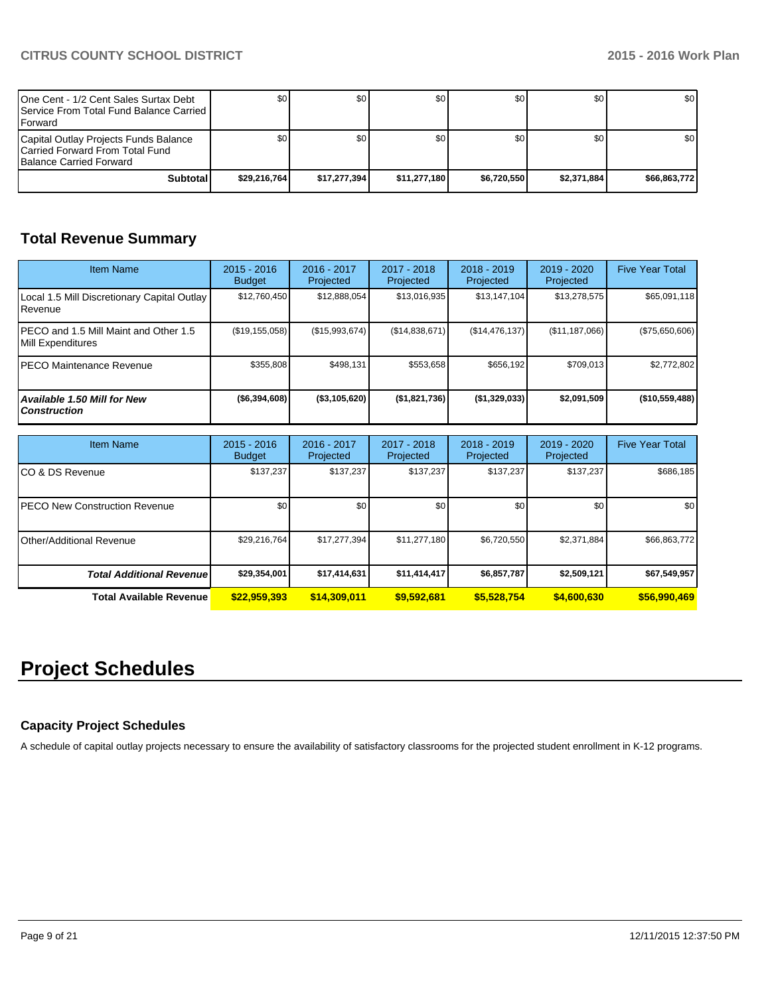| One Cent - 1/2 Cent Sales Surtax Debt<br><b>I Service From Total Fund Balance Carried I</b><br><b>IForward</b> | \$0          | \$0          | \$0          | \$0 <sub>0</sub> | \$0         | \$0 <sub>1</sub> |
|----------------------------------------------------------------------------------------------------------------|--------------|--------------|--------------|------------------|-------------|------------------|
| Capital Outlay Projects Funds Balance<br>ICarried Forward From Total Fund<br><b>Balance Carried Forward</b>    | \$0          | \$0          | \$0          | \$0 <sub>0</sub> | \$0         | \$0 <sub>1</sub> |
| Subtotal                                                                                                       | \$29.216.764 | \$17.277.394 | \$11.277.180 | \$6.720.550      | \$2.371.884 | \$66.863.772     |

# **Total Revenue Summary**

| <b>Item Name</b>                                           | $2015 - 2016$<br><b>Budget</b> | 2016 - 2017<br>Projected | $2017 - 2018$<br>Projected | $2018 - 2019$<br>Projected | $2019 - 2020$<br>Projected | <b>Five Year Total</b> |
|------------------------------------------------------------|--------------------------------|--------------------------|----------------------------|----------------------------|----------------------------|------------------------|
| Local 1.5 Mill Discretionary Capital Outlay<br>l Revenue   | \$12,760,450                   | \$12,888,054             | \$13,016,935               | \$13,147,104               | \$13,278,575               | \$65,091,118           |
| PECO and 1.5 Mill Maint and Other 1.5<br>Mill Expenditures | (S19, 155, 058)                | (S15.993.674)            | (S14, 838, 671)            | (S14, 476, 137)            | (\$11, 187, 066)           | (\$75,650,606)         |
| IPECO Maintenance Revenue                                  | \$355.808                      | \$498.131                | \$553.658                  | \$656.192                  | \$709.013                  | \$2,772,802            |
| Available 1.50 Mill for New<br><b>Construction</b>         | ( \$6,394,608)                 | $($ \$3,105,620)         | (\$1,821,736)              | (\$1,329,033)              | \$2,091,509                | (\$10,559,488)         |

| <b>Item Name</b>                      | $2015 - 2016$<br><b>Budget</b> | 2016 - 2017<br>Projected | 2017 - 2018<br>Projected | $2018 - 2019$<br>Projected | $2019 - 2020$<br>Projected | <b>Five Year Total</b> |
|---------------------------------------|--------------------------------|--------------------------|--------------------------|----------------------------|----------------------------|------------------------|
| ICO & DS Revenue                      | \$137,237                      | \$137,237                | \$137.237                | \$137,237                  | \$137,237                  | \$686,185              |
| <b>IPECO New Construction Revenue</b> | \$0 <sub>1</sub>               | \$0 <sub>1</sub>         | \$0                      | \$0 <sub>1</sub>           | \$0                        | \$0                    |
| <b>I</b> Other/Additional Revenue     | \$29,216,764                   | \$17,277,394             | \$11,277,180             | \$6,720,550                | \$2,371,884                | \$66,863,772           |
| <b>Total Additional Revenuel</b>      | \$29,354,001                   | \$17,414,631             | \$11,414,417             | \$6,857,787                | \$2,509,121                | \$67,549,957           |
| <b>Total Available Revenue</b>        | \$22,959,393                   | \$14,309,011             | \$9,592,681              | \$5,528,754                | \$4,600,630                | \$56,990,469           |

# **Project Schedules**

#### **Capacity Project Schedules**

A schedule of capital outlay projects necessary to ensure the availability of satisfactory classrooms for the projected student enrollment in K-12 programs.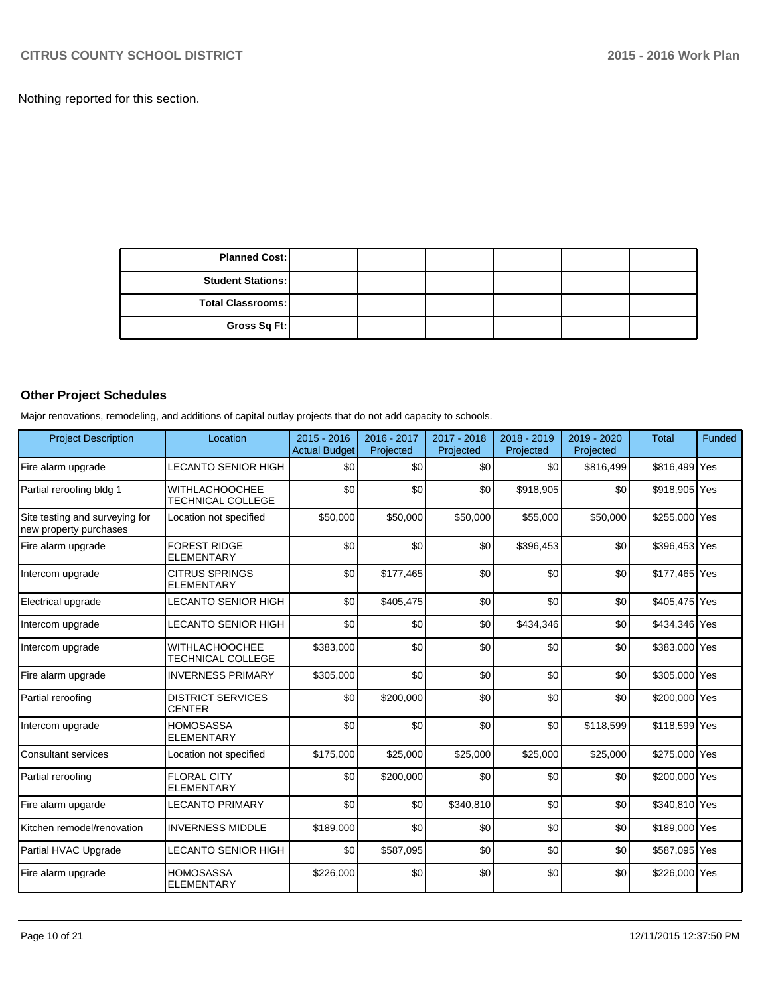Nothing reported for this section.

| <b>Planned Cost:</b>     |  |  |  |
|--------------------------|--|--|--|
| <b>Student Stations:</b> |  |  |  |
| <b>Total Classrooms:</b> |  |  |  |
| Gross Sq Ft:             |  |  |  |

## **Other Project Schedules**

Major renovations, remodeling, and additions of capital outlay projects that do not add capacity to schools.

| <b>Project Description</b>                               | Location                                          | 2015 - 2016<br><b>Actual Budget</b> | 2016 - 2017<br>Projected | 2017 - 2018<br>Projected | 2018 - 2019<br>Projected | 2019 - 2020<br>Projected | <b>Total</b>  | <b>Funded</b> |
|----------------------------------------------------------|---------------------------------------------------|-------------------------------------|--------------------------|--------------------------|--------------------------|--------------------------|---------------|---------------|
| Fire alarm upgrade                                       | LECANTO SENIOR HIGH                               | \$0                                 | \$0                      | \$0                      | \$0                      | \$816,499                | \$816,499 Yes |               |
| Partial reroofing bldg 1                                 | <b>WITHLACHOOCHEE</b><br><b>TECHNICAL COLLEGE</b> | \$0                                 | \$0                      | \$0                      | \$918,905                | \$0                      | \$918,905 Yes |               |
| Site testing and surveying for<br>new property purchases | Location not specified                            | \$50,000                            | \$50,000                 | \$50,000                 | \$55,000                 | \$50,000                 | \$255,000 Yes |               |
| Fire alarm upgrade                                       | <b>FOREST RIDGE</b><br><b>ELEMENTARY</b>          | \$0                                 | \$0                      | \$0                      | \$396,453                | \$0                      | \$396,453 Yes |               |
| Intercom upgrade                                         | <b>CITRUS SPRINGS</b><br><b>ELEMENTARY</b>        | \$0                                 | \$177,465                | \$0                      | \$0                      | \$0                      | \$177,465 Yes |               |
| Electrical upgrade                                       | LECANTO SENIOR HIGH                               | \$0                                 | \$405,475                | \$0                      | \$0                      | \$0                      | \$405,475 Yes |               |
| Intercom upgrade                                         | LECANTO SENIOR HIGH                               | \$0                                 | \$0                      | \$0                      | \$434,346                | \$0                      | \$434,346 Yes |               |
| Intercom upgrade                                         | <b>WITHLACHOOCHEE</b><br>TECHNICAL COLLEGE        | \$383,000                           | \$0                      | \$0                      | \$0                      | \$0                      | \$383,000 Yes |               |
| Fire alarm upgrade                                       | <b>INVERNESS PRIMARY</b>                          | \$305,000                           | \$0                      | \$0                      | \$0                      | \$0                      | \$305,000 Yes |               |
| Partial reroofing                                        | <b>DISTRICT SERVICES</b><br><b>CENTER</b>         | \$0                                 | \$200,000                | \$0                      | \$0                      | \$0                      | \$200,000 Yes |               |
| Intercom upgrade                                         | <b>HOMOSASSA</b><br><b>ELEMENTARY</b>             | \$0                                 | \$0                      | \$0                      | \$0                      | \$118,599                | \$118,599 Yes |               |
| <b>Consultant services</b>                               | Location not specified                            | \$175,000                           | \$25,000                 | \$25,000                 | \$25,000                 | \$25,000                 | \$275,000 Yes |               |
| Partial reroofing                                        | <b>FLORAL CITY</b><br><b>ELEMENTARY</b>           | \$0                                 | \$200,000                | \$0                      | \$0                      | \$0                      | \$200,000 Yes |               |
| Fire alarm upgarde                                       | <b>LECANTO PRIMARY</b>                            | \$0                                 | \$0                      | \$340,810                | \$0                      | \$0                      | \$340,810 Yes |               |
| Kitchen remodel/renovation                               | <b>INVERNESS MIDDLE</b>                           | \$189,000                           | \$0                      | \$0                      | \$0                      | \$0                      | \$189,000 Yes |               |
| Partial HVAC Upgrade                                     | LECANTO SENIOR HIGH                               | \$0                                 | \$587,095                | \$0                      | \$0                      | \$0                      | \$587,095 Yes |               |
| Fire alarm upgrade                                       | <b>HOMOSASSA</b><br><b>ELEMENTARY</b>             | \$226,000                           | \$0                      | \$0                      | \$0                      | \$0                      | \$226,000 Yes |               |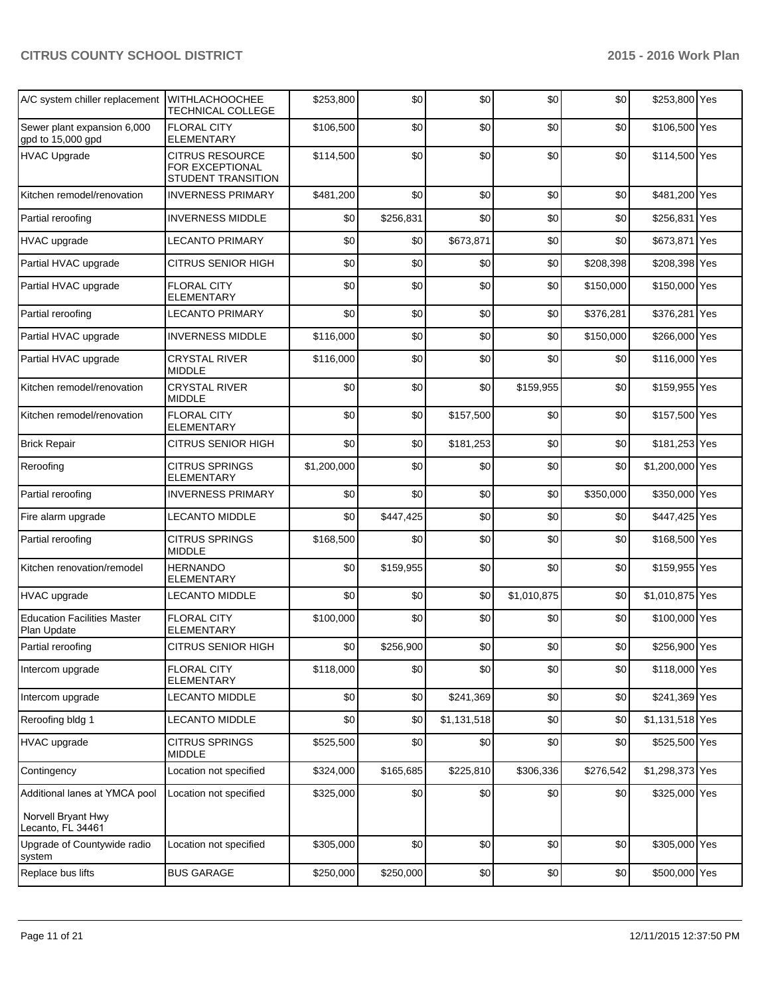### **CITRUS COUNTY SCHOOL DISTRICT 2015 - 2016 Work Plan**

| A/C system chiller replacement                      | WITHLACHOOCHEE<br><b>TECHNICAL COLLEGE</b>                             | \$253,800   | \$0       | \$0         | \$0         | \$0       | \$253,800 Yes   |  |
|-----------------------------------------------------|------------------------------------------------------------------------|-------------|-----------|-------------|-------------|-----------|-----------------|--|
| Sewer plant expansion 6,000<br>gpd to 15,000 gpd    | <b>FLORAL CITY</b><br>ELEMENTARY                                       | \$106,500   | \$0       | \$0         | \$0         | \$0       | \$106,500 Yes   |  |
| <b>HVAC Upgrade</b>                                 | <b>CITRUS RESOURCE</b><br>FOR EXCEPTIONAL<br><b>STUDENT TRANSITION</b> | \$114,500   | \$0       | \$0         | \$0         | \$0       | \$114,500 Yes   |  |
| Kitchen remodel/renovation                          | <b>INVERNESS PRIMARY</b>                                               | \$481,200   | \$0       | \$0         | \$0         | \$0       | \$481,200 Yes   |  |
| Partial reroofing                                   | <b>INVERNESS MIDDLE</b>                                                | \$0         | \$256,831 | \$0         | \$0         | \$0       | \$256,831 Yes   |  |
| <b>HVAC</b> upgrade                                 | LECANTO PRIMARY                                                        | \$0         | \$0       | \$673,871   | \$0         | \$0       | \$673,871 Yes   |  |
| Partial HVAC upgrade                                | <b>CITRUS SENIOR HIGH</b>                                              | \$0         | \$0       | \$0         | \$0         | \$208,398 | \$208,398 Yes   |  |
| Partial HVAC upgrade                                | <b>FLORAL CITY</b><br>ELEMENTARY                                       | \$0         | \$0       | \$0         | \$0         | \$150,000 | \$150,000 Yes   |  |
| Partial reroofing                                   | <b>LECANTO PRIMARY</b>                                                 | \$0         | \$0       | \$0         | \$0         | \$376,281 | \$376,281 Yes   |  |
| Partial HVAC upgrade                                | <b>INVERNESS MIDDLE</b>                                                | \$116,000   | \$0       | \$0         | \$0         | \$150,000 | \$266,000 Yes   |  |
| Partial HVAC upgrade                                | <b>CRYSTAL RIVER</b><br><b>MIDDLE</b>                                  | \$116,000   | \$0       | \$0         | \$0         | \$0       | \$116,000 Yes   |  |
| Kitchen remodel/renovation                          | <b>CRYSTAL RIVER</b><br>MIDDLE                                         | \$0         | \$0       | \$0         | \$159,955   | \$0       | \$159,955 Yes   |  |
| Kitchen remodel/renovation                          | <b>FLORAL CITY</b><br><b>ELEMENTARY</b>                                | \$0         | \$0       | \$157,500   | \$0         | \$0       | \$157,500 Yes   |  |
| <b>Brick Repair</b>                                 | <b>CITRUS SENIOR HIGH</b>                                              | \$0         | \$0       | \$181,253   | \$0         | \$0       | \$181,253 Yes   |  |
| Reroofing                                           | <b>CITRUS SPRINGS</b><br>ELEMENTARY                                    | \$1,200,000 | \$0       | \$0         | \$0         | \$0       | \$1,200,000 Yes |  |
| Partial reroofing                                   | <b>INVERNESS PRIMARY</b>                                               | \$0         | \$0       | \$0         | \$0         | \$350,000 | \$350,000 Yes   |  |
| Fire alarm upgrade                                  | <b>LECANTO MIDDLE</b>                                                  | \$0         | \$447,425 | \$0         | \$0         | \$0       | \$447,425 Yes   |  |
| Partial reroofing                                   | <b>CITRUS SPRINGS</b><br><b>MIDDLE</b>                                 | \$168,500   | \$0       | \$0         | \$0         | \$0       | \$168,500 Yes   |  |
| Kitchen renovation/remodel                          | <b>HERNANDO</b><br>ELEMENTARY                                          | \$0         | \$159,955 | \$0         | \$0         | \$0       | \$159,955 Yes   |  |
| HVAC upgrade                                        | <b>LECANTO MIDDLE</b>                                                  | \$0         | \$0       | \$0         | \$1,010,875 | \$0       | \$1,010,875 Yes |  |
| <b>Education Facilities Master</b><br>Plan Update   | <b>FLORAL CITY</b><br><b>ELEMENTARY</b>                                | \$100,000   | \$0       | \$0         | \$0         | \$0       | \$100,000 Yes   |  |
| Partial reroofing                                   | CITRUS SENIOR HIGH                                                     | \$0         | \$256,900 | \$0         | \$0         | \$0       | \$256,900 Yes   |  |
| Intercom upgrade                                    | <b>FLORAL CITY</b><br><b>ELEMENTARY</b>                                | \$118,000   | \$0       | \$0         | \$0         | \$0       | \$118,000 Yes   |  |
| Intercom upgrade                                    | <b>LECANTO MIDDLE</b>                                                  | \$0         | \$0       | \$241,369   | \$0         | \$0       | \$241,369 Yes   |  |
| Reroofing bldg 1                                    | LECANTO MIDDLE                                                         | \$0         | \$0       | \$1,131,518 | \$0         | \$0       | \$1,131,518 Yes |  |
| HVAC upgrade                                        | <b>CITRUS SPRINGS</b><br><b>MIDDLE</b>                                 | \$525,500   | \$0       | \$0         | \$0         | \$0       | \$525,500 Yes   |  |
| Contingency                                         | Location not specified                                                 | \$324,000   | \$165,685 | \$225,810   | \$306,336   | \$276,542 | \$1,298,373 Yes |  |
| Additional lanes at YMCA pool<br>Norvell Bryant Hwy | Location not specified                                                 | \$325,000   | \$0       | \$0         | \$0         | \$0       | \$325,000 Yes   |  |
| Lecanto, FL 34461                                   |                                                                        |             |           |             |             |           |                 |  |
| Upgrade of Countywide radio<br>system               | Location not specified                                                 | \$305,000   | \$0       | \$0         | \$0         | \$0       | \$305,000 Yes   |  |
| Replace bus lifts                                   | <b>BUS GARAGE</b>                                                      | \$250,000   | \$250,000 | \$0         | \$0         | \$0       | \$500,000 Yes   |  |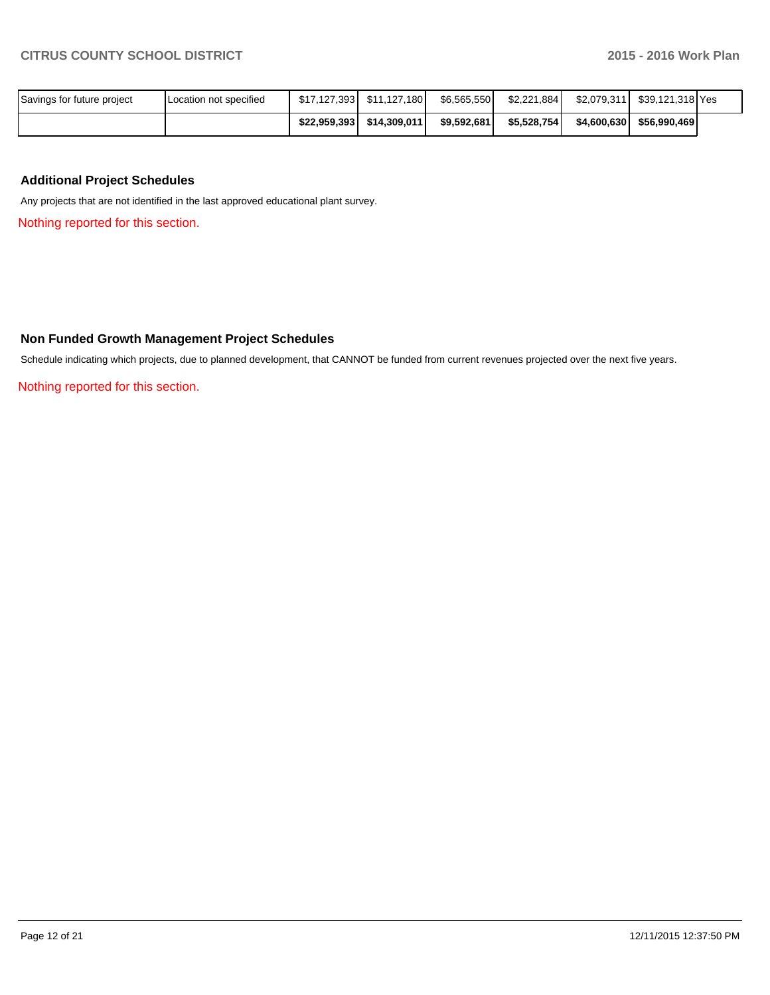| Savings for future project | Location not specified | \$17,127,393 | \$11.127.180 l | \$6.565.550 | \$2,221,884 | \$2.079.311 | \$39.121.318 Yes |  |
|----------------------------|------------------------|--------------|----------------|-------------|-------------|-------------|------------------|--|
|                            |                        | \$22.959.393 | \$14,309,011   | \$9,592,681 | \$5,528,754 | \$4,600,630 | \$56,990,469     |  |

#### **Additional Project Schedules**

Any projects that are not identified in the last approved educational plant survey.

Nothing reported for this section.

#### **Non Funded Growth Management Project Schedules**

Schedule indicating which projects, due to planned development, that CANNOT be funded from current revenues projected over the next five years.

Nothing reported for this section.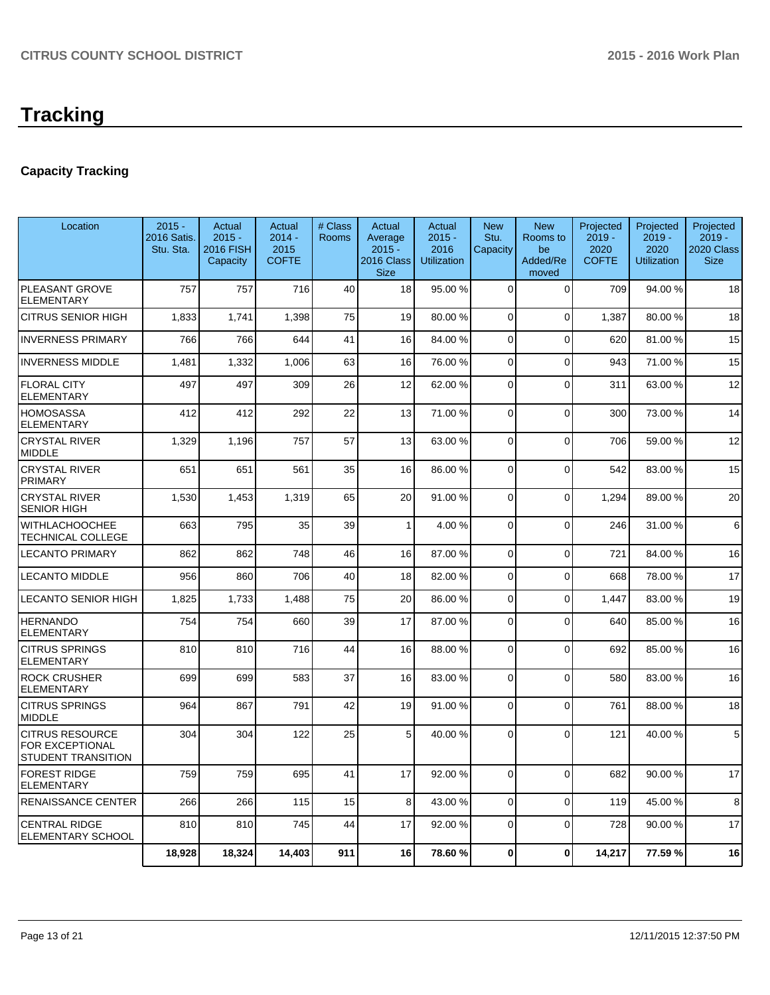# **Tracking**

## **Capacity Tracking**

| Location                                                               | $2015 -$<br>2016 Satis.<br>Stu. Sta. | Actual<br>$2015 -$<br>2016 FISH<br>Capacity | Actual<br>$2014 -$<br>2015<br><b>COFTE</b> | # Class<br>Rooms | Actual<br>Average<br>$2015 -$<br>2016 Class<br><b>Size</b> | Actual<br>$2015 -$<br>2016<br><b>Utilization</b> | <b>New</b><br>Stu.<br>Capacity | <b>New</b><br>Rooms to<br>be<br>Added/Re<br>moved | Projected<br>$2019 -$<br>2020<br><b>COFTE</b> | Projected<br>$2019 -$<br>2020<br><b>Utilization</b> | Projected<br>$2019 -$<br>2020 Class<br><b>Size</b> |
|------------------------------------------------------------------------|--------------------------------------|---------------------------------------------|--------------------------------------------|------------------|------------------------------------------------------------|--------------------------------------------------|--------------------------------|---------------------------------------------------|-----------------------------------------------|-----------------------------------------------------|----------------------------------------------------|
| PLEASANT GROVE<br><b>ELEMENTARY</b>                                    | 757                                  | 757                                         | 716                                        | 40               | 18                                                         | 95.00 %                                          | $\Omega$                       | $\Omega$                                          | 709                                           | 94.00%                                              | 18                                                 |
| <b>CITRUS SENIOR HIGH</b>                                              | 1,833                                | 1,741                                       | 1,398                                      | 75               | 19                                                         | 80.00 %                                          | $\Omega$                       | $\Omega$                                          | 1,387                                         | 80.00%                                              | 18                                                 |
| <b>INVERNESS PRIMARY</b>                                               | 766                                  | 766                                         | 644                                        | 41               | 16                                                         | 84.00%                                           | 0                              | $\Omega$                                          | 620                                           | 81.00%                                              | 15                                                 |
| <b>INVERNESS MIDDLE</b>                                                | 1,481                                | 1,332                                       | 1,006                                      | 63               | 16                                                         | 76.00 %                                          | $\Omega$                       | $\overline{0}$                                    | 943                                           | 71.00 %                                             | 15                                                 |
| <b>FLORAL CITY</b><br><b>ELEMENTARY</b>                                | 497                                  | 497                                         | 309                                        | 26               | 12                                                         | 62.00%                                           | 0                              | $\overline{0}$                                    | 311                                           | 63.00%                                              | 12                                                 |
| <b>HOMOSASSA</b><br><b>ELEMENTARY</b>                                  | 412                                  | 412                                         | 292                                        | 22               | 13                                                         | 71.00 %                                          | 0                              | $\overline{0}$                                    | 300                                           | 73.00 %                                             | 14                                                 |
| <b>CRYSTAL RIVER</b><br><b>MIDDLE</b>                                  | 1,329                                | 1,196                                       | 757                                        | 57               | 13                                                         | 63.00 %                                          | $\Omega$                       | $\overline{0}$                                    | 706                                           | 59.00 %                                             | 12                                                 |
| <b>CRYSTAL RIVER</b><br><b>PRIMARY</b>                                 | 651                                  | 651                                         | 561                                        | 35               | 16                                                         | 86.00 %                                          | $\Omega$                       | $\mathbf 0$                                       | 542                                           | 83.00 %                                             | 15                                                 |
| <b>CRYSTAL RIVER</b><br><b>SENIOR HIGH</b>                             | 1,530                                | 1,453                                       | 1,319                                      | 65               | 20                                                         | 91.00%                                           | $\overline{0}$                 | $\Omega$                                          | 1,294                                         | 89.00 %                                             | 20                                                 |
| <b>WITHLACHOOCHEE</b><br>TECHNICAL COLLEGE                             | 663                                  | 795                                         | 35                                         | 39               | $\mathbf{1}$                                               | 4.00 %                                           | $\Omega$                       | $\mathbf 0$                                       | 246                                           | 31.00%                                              | 6                                                  |
| <b>LECANTO PRIMARY</b>                                                 | 862                                  | 862                                         | 748                                        | 46               | 16                                                         | 87.00 %                                          | $\overline{0}$                 | $\overline{0}$                                    | 721                                           | 84.00%                                              | 16                                                 |
| <b>LECANTO MIDDLE</b>                                                  | 956                                  | 860                                         | 706                                        | 40               | 18                                                         | 82.00%                                           | $\Omega$                       | $\Omega$                                          | 668                                           | 78.00 %                                             | 17                                                 |
| <b>LECANTO SENIOR HIGH</b>                                             | 1,825                                | 1,733                                       | 1,488                                      | 75               | 20                                                         | 86.00 %                                          | $\Omega$                       | $\overline{0}$                                    | 1.447                                         | 83.00 %                                             | 19                                                 |
| <b>HERNANDO</b><br><b>ELEMENTARY</b>                                   | 754                                  | 754                                         | 660                                        | 39               | 17                                                         | 87.00 %                                          | $\Omega$                       | $\overline{0}$                                    | 640                                           | 85.00 %                                             | 16                                                 |
| <b>CITRUS SPRINGS</b><br><b>ELEMENTARY</b>                             | 810                                  | 810                                         | 716                                        | 44               | 16                                                         | 88.00 %                                          | $\Omega$                       | $\overline{0}$                                    | 692                                           | 85.00 %                                             | 16                                                 |
| <b>ROCK CRUSHER</b><br><b>ELEMENTARY</b>                               | 699                                  | 699                                         | 583                                        | 37               | 16                                                         | 83.00 %                                          | $\Omega$                       | $\overline{0}$                                    | 580                                           | 83.00 %                                             | 16                                                 |
| <b>CITRUS SPRINGS</b><br><b>MIDDLE</b>                                 | 964                                  | 867                                         | 791                                        | 42               | 19                                                         | 91.00 %                                          | $\Omega$                       | $\Omega$                                          | 761                                           | 88.00%                                              | 18                                                 |
| <b>CITRUS RESOURCE</b><br>FOR EXCEPTIONAL<br><b>STUDENT TRANSITION</b> | 304                                  | 304                                         | 122                                        | 25               | 5                                                          | 40.00 %                                          | $\Omega$                       | $\Omega$                                          | 121                                           | 40.00%                                              | $\mathbf 5$                                        |
| <b>FOREST RIDGE</b><br><b>ELEMENTARY</b>                               | 759                                  | 759                                         | 695                                        | 41               | 17                                                         | 92.00 %                                          | $\Omega$                       | $\overline{0}$                                    | 682                                           | 90.00 %                                             | 17                                                 |
| <b>RENAISSANCE CENTER</b>                                              | 266                                  | 266                                         | 115                                        | 15               | 8                                                          | 43.00 %                                          | $\Omega$                       | $\Omega$                                          | 119                                           | 45.00 %                                             | 8                                                  |
| <b>CENTRAL RIDGE</b><br><b>ELEMENTARY SCHOOL</b>                       | 810                                  | 810                                         | 745                                        | 44               | 17                                                         | 92.00 %                                          | $\Omega$                       | $\Omega$                                          | 728                                           | 90.00%                                              | 17                                                 |
|                                                                        | 18,928                               | 18,324                                      | 14,403                                     | 911              | 16                                                         | 78.60%                                           | $\bf{0}$                       | $\mathbf 0$                                       | 14,217                                        | 77.59 %                                             | 16                                                 |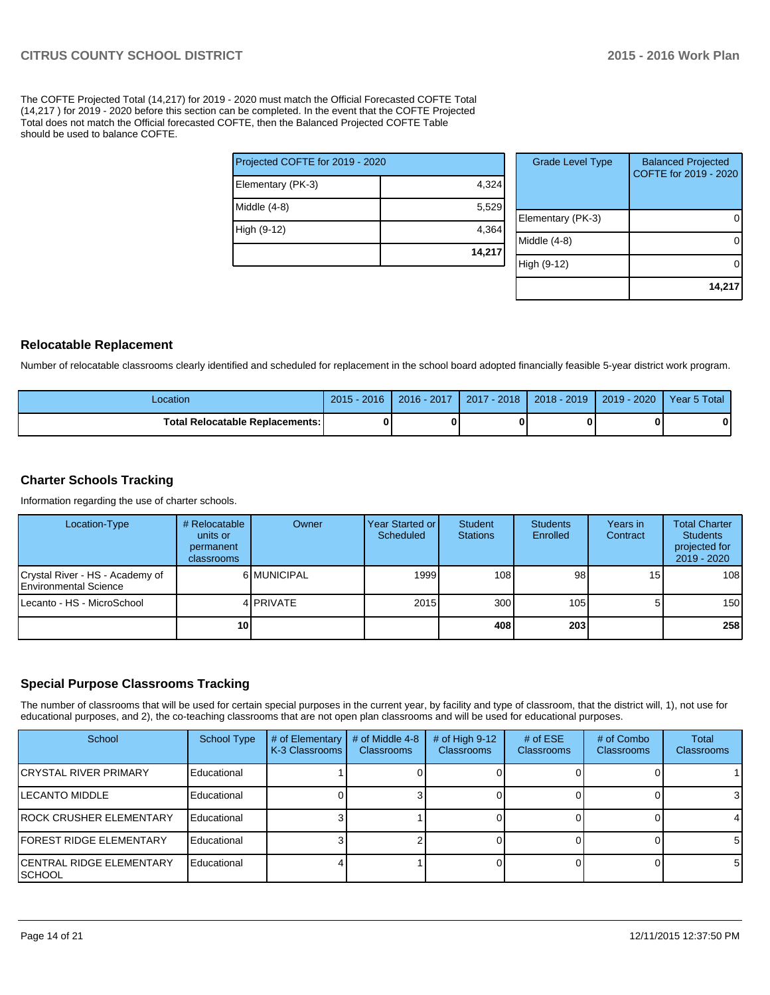The COFTE Projected Total (14,217) for 2019 - 2020 must match the Official Forecasted COFTE Total (14,217 ) for 2019 - 2020 before this section can be completed. In the event that the COFTE Projected Total does not match the Official forecasted COFTE, then the Balanced Projected COFTE Table should be used to balance COFTE.

| Projected COFTE for 2019 - 2020 |  |  |  |  |  |
|---------------------------------|--|--|--|--|--|
| 4,324                           |  |  |  |  |  |
| 5,529                           |  |  |  |  |  |
| 4,364                           |  |  |  |  |  |
| 14,217                          |  |  |  |  |  |
|                                 |  |  |  |  |  |

| <b>Grade Level Type</b> | <b>Balanced Projected</b><br>COFTE for 2019 - 2020 |
|-------------------------|----------------------------------------------------|
| Elementary (PK-3)       |                                                    |
| Middle $(4-8)$          |                                                    |
| High (9-12)             |                                                    |
|                         | 14,217                                             |

#### **Relocatable Replacement**

Number of relocatable classrooms clearly identified and scheduled for replacement in the school board adopted financially feasible 5-year district work program.

| Location                                 | $2015 - 2016$ | 2016 - 2017 | 2017 - 2018 | $2018 - 2019$ | 2019 - 2020 | Year 5 Total |
|------------------------------------------|---------------|-------------|-------------|---------------|-------------|--------------|
| <b>Total Relocatable Replacements: I</b> |               |             | 0           |               |             |              |

#### **Charter Schools Tracking**

Information regarding the use of charter schools.

| Location-Type                                                    | # Relocatable<br>units or<br>permanent<br>classrooms | Owner       | Year Started or I<br>Scheduled | Student<br><b>Stations</b> | <b>Students</b><br>Enrolled | Years in<br>Contract | <b>Total Charter</b><br><b>Students</b><br>projected for<br>2019 - 2020 |
|------------------------------------------------------------------|------------------------------------------------------|-------------|--------------------------------|----------------------------|-----------------------------|----------------------|-------------------------------------------------------------------------|
| Crystal River - HS - Academy of<br><b>IEnvironmental Science</b> |                                                      | 6 MUNICIPAL | 1999                           | 108                        | 98                          | 15 <sup>1</sup>      | 108                                                                     |
| Lecanto - HS - MicroSchool                                       |                                                      | 4 PRIVATE   | 2015                           | 300                        | 105                         | 5                    | 150                                                                     |
|                                                                  | 10 I                                                 |             |                                | 408                        | 203                         |                      | 258                                                                     |

#### **Special Purpose Classrooms Tracking**

The number of classrooms that will be used for certain special purposes in the current year, by facility and type of classroom, that the district will, 1), not use for educational purposes, and 2), the co-teaching classrooms that are not open plan classrooms and will be used for educational purposes.

| School                               | <b>School Type</b> | # of Elementary<br>K-3 Classrooms | # of Middle 4-8<br><b>Classrooms</b> | # of High $9-12$<br><b>Classrooms</b> | # of $ESE$<br><b>Classrooms</b> | # of Combo<br><b>Classrooms</b> | <b>Total</b><br><b>Classrooms</b> |
|--------------------------------------|--------------------|-----------------------------------|--------------------------------------|---------------------------------------|---------------------------------|---------------------------------|-----------------------------------|
| ICRYSTAL RIVER PRIMARY               | Educational        |                                   |                                      |                                       |                                 |                                 |                                   |
| <b>ILECANTO MIDDLE</b>               | Educational        |                                   |                                      |                                       |                                 |                                 | 3                                 |
| IROCK CRUSHER ELEMENTARY             | Educational        |                                   |                                      |                                       |                                 |                                 | 4                                 |
| <b>IFOREST RIDGE ELEMENTARY</b>      | Educational        |                                   |                                      |                                       |                                 |                                 | 5                                 |
| ICENTRAL RIDGE ELEMENTARY<br>ISCHOOL | Educational        |                                   |                                      |                                       |                                 |                                 | 5                                 |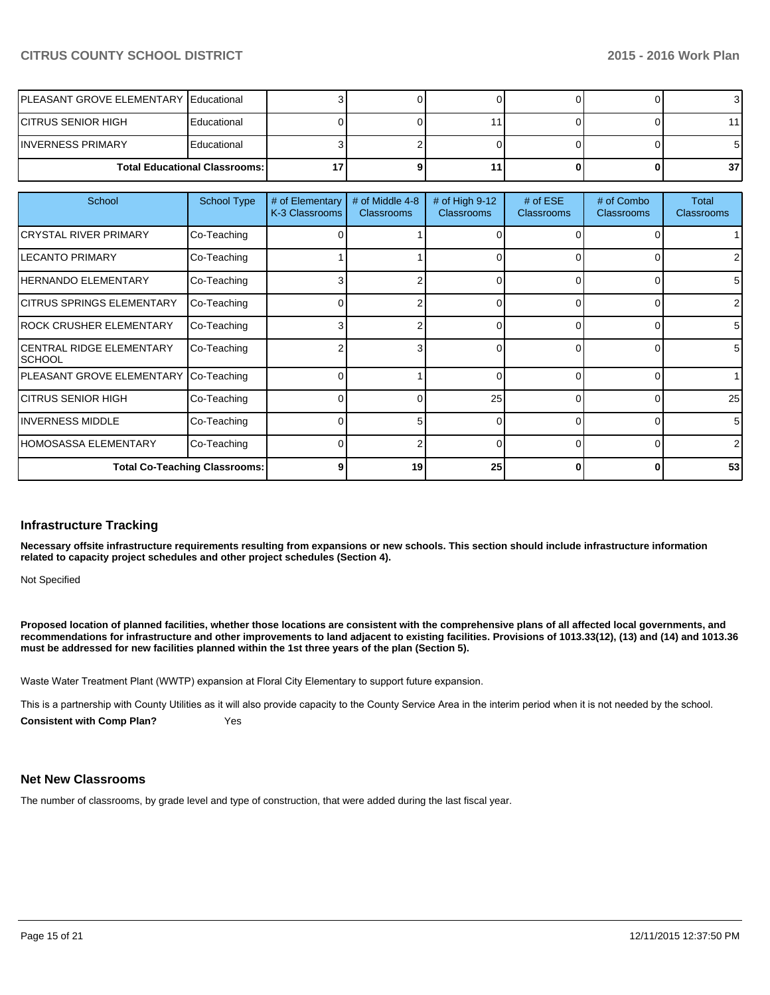#### **CITRUS COUNTY SCHOOL DISTRICT 2015 - 2016 Work Plan**

| <b>IPLEASANT GROVE ELEMENTARY Educational</b> |             |  |  |                 |
|-----------------------------------------------|-------------|--|--|-----------------|
| ICITRUS SENIOR HIGH                           | Educational |  |  |                 |
| IINVERNESS PRIMARY                            | Educational |  |  |                 |
| <b>Total Educational Classrooms: I</b>        |             |  |  | 37 <sub>l</sub> |

| School                                     | <b>School Type</b> | # of Elementary<br>K-3 Classrooms | # of Middle 4-8<br><b>Classrooms</b> | # of High 9-12<br><b>Classrooms</b> | # of $ESE$<br><b>Classrooms</b> | # of Combo<br><b>Classrooms</b> | Total<br><b>Classrooms</b> |
|--------------------------------------------|--------------------|-----------------------------------|--------------------------------------|-------------------------------------|---------------------------------|---------------------------------|----------------------------|
| <b>CRYSTAL RIVER PRIMARY</b>               | Co-Teaching        |                                   |                                      |                                     |                                 |                                 |                            |
| <b>LECANTO PRIMARY</b>                     | Co-Teaching        |                                   |                                      |                                     | 0                               |                                 |                            |
| <b>HERNANDO ELEMENTARY</b>                 | Co-Teaching        |                                   |                                      |                                     | $\Omega$                        |                                 | 5                          |
| ICITRUS SPRINGS ELEMENTARY                 | Co-Teaching        |                                   |                                      |                                     | 0                               | 0                               | 2                          |
| ROCK CRUSHER ELEMENTARY                    | Co-Teaching        |                                   |                                      | 0                                   | 0                               | 0                               | 5                          |
| <b>CENTRAL RIDGE ELEMENTARY</b><br>ISCHOOL | Co-Teaching        |                                   | 3                                    |                                     | 0                               | 0                               | 5                          |
| PLEASANT GROVE ELEMENTARY Co-Teaching      |                    |                                   |                                      | <sup>0</sup>                        | $\Omega$                        | 0                               |                            |
| ICITRUS SENIOR HIGH                        | Co-Teaching        |                                   | ი                                    | 25                                  | $\Omega$                        | 0                               | 25                         |
| <b>INVERNESS MIDDLE</b>                    | Co-Teaching        |                                   | 5                                    | <sup>0</sup>                        | $\Omega$                        | 0                               | 5                          |
| IHOMOSASSA ELEMENTARY                      | Co-Teaching        |                                   | 2                                    | 0                                   | $\Omega$                        | 0                               | $\overline{2}$             |
| <b>Total Co-Teaching Classrooms:</b>       |                    |                                   | 19                                   | 25                                  | 0                               | 0                               | 53                         |

#### **Infrastructure Tracking**

**Necessary offsite infrastructure requirements resulting from expansions or new schools. This section should include infrastructure information related to capacity project schedules and other project schedules (Section 4).**

Not Specified

**Proposed location of planned facilities, whether those locations are consistent with the comprehensive plans of all affected local governments, and recommendations for infrastructure and other improvements to land adjacent to existing facilities. Provisions of 1013.33(12), (13) and (14) and 1013.36 must be addressed for new facilities planned within the 1st three years of the plan (Section 5).**

Waste Water Treatment Plant (WWTP) expansion at Floral City Elementary to support future expansion.

This is a partnership with County Utilities as it will also provide capacity to the County Service Area in the interim period when it is not needed by the school.

**Consistent with Comp Plan?** Yes

#### **Net New Classrooms**

The number of classrooms, by grade level and type of construction, that were added during the last fiscal year.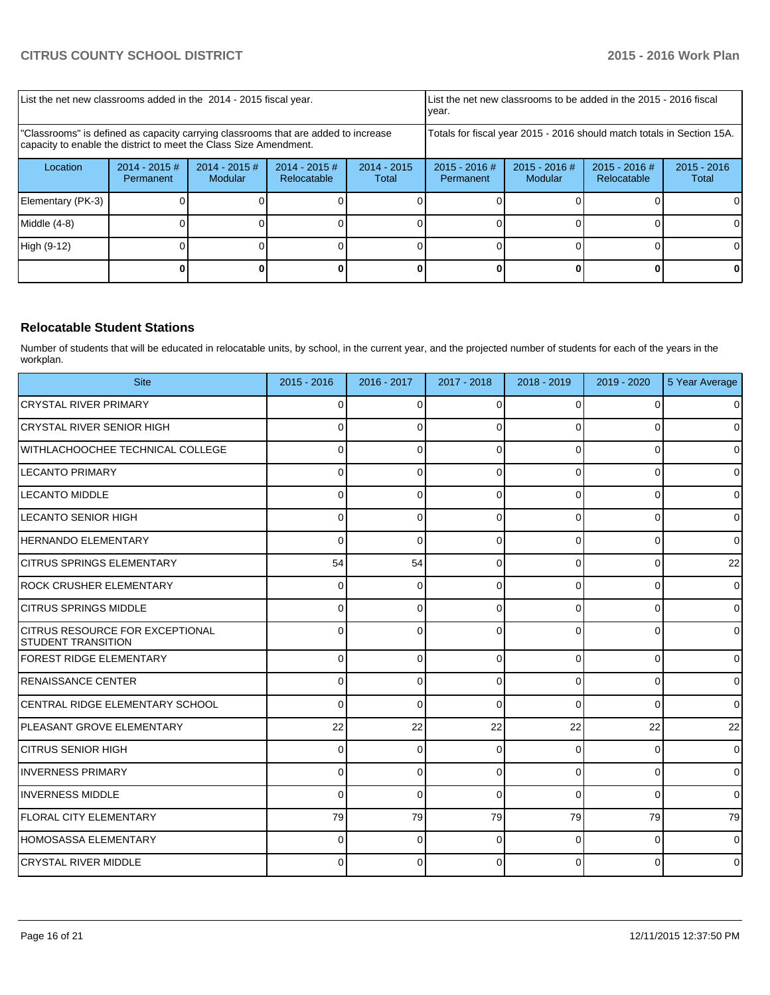| List the net new classrooms added in the 2014 - 2015 fiscal year.                                                                                       |                               |                            |                                |                        | Ivear.                       |                                                                        | List the net new classrooms to be added in the 2015 - 2016 fiscal |                        |
|---------------------------------------------------------------------------------------------------------------------------------------------------------|-------------------------------|----------------------------|--------------------------------|------------------------|------------------------------|------------------------------------------------------------------------|-------------------------------------------------------------------|------------------------|
| "Classrooms" is defined as capacity carrying classrooms that are added to increase<br>capacity to enable the district to meet the Class Size Amendment. |                               |                            |                                |                        |                              | Totals for fiscal year 2015 - 2016 should match totals in Section 15A. |                                                                   |                        |
| Location                                                                                                                                                | $2014 - 2015 \#$<br>Permanent | $2014 - 2015$ #<br>Modular | $2014 - 2015$ #<br>Relocatable | $2014 - 2015$<br>Total | $2015 - 2016$ #<br>Permanent | $2015 - 2016$ #<br>Modular                                             | $2015 - 2016$ #<br>Relocatable                                    | $2015 - 2016$<br>Total |
| Elementary (PK-3)                                                                                                                                       |                               |                            |                                |                        |                              |                                                                        |                                                                   |                        |
| Middle $(4-8)$                                                                                                                                          |                               |                            |                                |                        |                              |                                                                        |                                                                   |                        |
| High (9-12)                                                                                                                                             |                               |                            |                                |                        |                              |                                                                        |                                                                   | ΩI                     |
|                                                                                                                                                         |                               |                            |                                |                        |                              |                                                                        |                                                                   |                        |

#### **Relocatable Student Stations**

Number of students that will be educated in relocatable units, by school, in the current year, and the projected number of students for each of the years in the workplan.

| <b>Site</b>                                                          | $2015 - 2016$ | 2016 - 2017 | 2017 - 2018 | 2018 - 2019  | 2019 - 2020    | 5 Year Average |
|----------------------------------------------------------------------|---------------|-------------|-------------|--------------|----------------|----------------|
| ICRYSTAL RIVER PRIMARY                                               | 0             | $\Omega$    |             | 0            | $\Omega$       | $\overline{0}$ |
| ICRYSTAL RIVER SENIOR HIGH                                           | ∩             | $\Omega$    |             | ∩            | 0              | $\overline{0}$ |
| IWITHLACHOOCHEE TECHNICAL COLLEGE                                    | 0             | o           |             | $\Omega$     | $\Omega$       | $\overline{0}$ |
| LECANTO PRIMARY                                                      | 0             | $\Omega$    | $\Omega$    | $\Omega$     | 0              | $\overline{0}$ |
| <b>LECANTO MIDDLE</b>                                                | 0             | $\Omega$    | $\Omega$    | $\Omega$     | $\Omega$       | $\overline{0}$ |
| LECANTO SENIOR HIGH                                                  | 0             | 0           | 0           | $\Omega$     | $\overline{0}$ | $\overline{0}$ |
| HERNANDO ELEMENTARY                                                  | $\Omega$      | $\Omega$    | $\Omega$    | $\Omega$     | $\Omega$       | $\Omega$       |
| ICITRUS SPRINGS ELEMENTARY                                           | 54            | 54          | $\Omega$    | $\Omega$     | $\overline{0}$ | 22             |
| <b>IROCK CRUSHER ELEMENTARY</b>                                      | $\Omega$      | $\mathbf 0$ | 0           | $\Omega$     | $\overline{0}$ | $\overline{0}$ |
| <b>CITRUS SPRINGS MIDDLE</b>                                         | $\Omega$      | $\Omega$    | $\Omega$    | $\Omega$     | $\Omega$       | $\overline{0}$ |
| <b>ICITRUS RESOURCE FOR EXCEPTIONAL</b><br><b>STUDENT TRANSITION</b> | 0             | $\Omega$    | $\Omega$    | $\Omega$     | $\Omega$       | $\mathbf 0$    |
| FOREST RIDGE ELEMENTARY                                              | $\Omega$      | $\mathbf 0$ | $\Omega$    | $\Omega$     | $\overline{0}$ | $\overline{0}$ |
| <b>RENAISSANCE CENTER</b>                                            | 0             | $\Omega$    | 0           | $\Omega$     | $\overline{0}$ | $\overline{0}$ |
| CENTRAL RIDGE ELEMENTARY SCHOOL                                      | $\Omega$      | $\Omega$    | $\Omega$    | $\Omega$     | $\Omega$       | $\overline{0}$ |
| PLEASANT GROVE ELEMENTARY                                            | 22            | 22          | 22          | 22           | 22             | 22             |
| <b>CITRUS SENIOR HIGH</b>                                            | 0             | $\mathbf 0$ | 0           | 0            | $\overline{0}$ | $\mathbf 0$    |
| <b>INVERNESS PRIMARY</b>                                             | 0             | $\Omega$    | $\Omega$    | $\Omega$     | $\Omega$       | $\overline{0}$ |
| <b>INVERNESS MIDDLE</b>                                              | 0             | $\Omega$    | $\Omega$    | $\Omega$     | $\Omega$       | $\overline{0}$ |
| <b>FLORAL CITY ELEMENTARY</b>                                        | 79            | 79          | 79          | 79           | 79             | 79             |
| HOMOSASSA ELEMENTARY                                                 | <sup>0</sup>  | $\Omega$    | ∩           | <sup>0</sup> | $\Omega$       | $\mathbf 0$    |
| <b>CRYSTAL RIVER MIDDLE</b>                                          | 0             | 0           | 0           | $\Omega$     | $\Omega$       | $\overline{0}$ |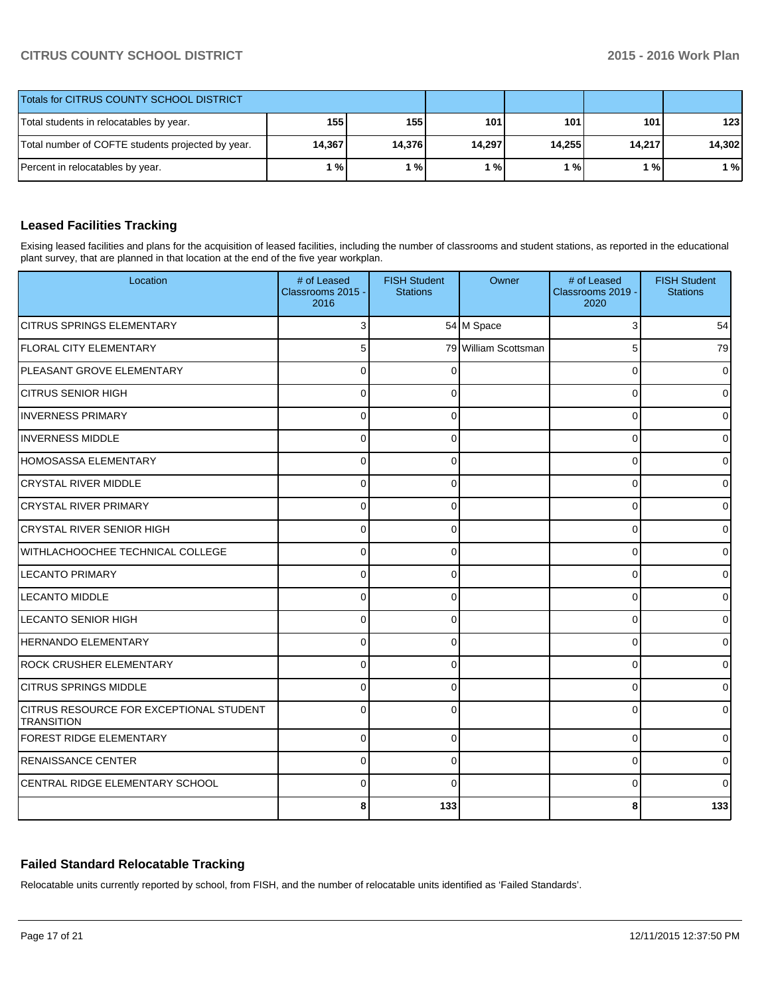### **CITRUS COUNTY SCHOOL DISTRICT 2015 - 2016 Work Plan**

| Totals for CITRUS COUNTY SCHOOL DISTRICT                              |       |       |        |        |        |        |
|-----------------------------------------------------------------------|-------|-------|--------|--------|--------|--------|
| Total students in relocatables by year.                               | 155   | 155 l | 101.   | 101    | 101 l  | 123    |
| 14,376<br>14,367<br>Total number of COFTE students projected by year. |       |       | 14,297 | 14,255 | 14,217 | 14,302 |
| Percent in relocatables by year.                                      | 1 % I | %     | $1\%$  | 1 % I  | 1%     | 1 %    |

## **Leased Facilities Tracking**

Exising leased facilities and plans for the acquisition of leased facilities, including the number of classrooms and student stations, as reported in the educational plant survey, that are planned in that location at the end of the five year workplan.

| Location                                                     | # of Leased<br>Classrooms 2015 -<br>2016 | <b>FISH Student</b><br><b>Stations</b> | Owner                | # of Leased<br>Classrooms 2019 -<br>2020 | <b>FISH Student</b><br><b>Stations</b> |
|--------------------------------------------------------------|------------------------------------------|----------------------------------------|----------------------|------------------------------------------|----------------------------------------|
| ICITRUS SPRINGS ELEMENTARY                                   |                                          |                                        | 54 M Space           | 3                                        | 54                                     |
| <b>IFLORAL CITY ELEMENTARY</b>                               | 5                                        |                                        | 79 William Scottsman | 5                                        | 79                                     |
| <b>IPLEASANT GROVE ELEMENTARY</b>                            | $\Omega$                                 |                                        |                      | $\Omega$                                 | $\Omega$                               |
| ÍCITRUS SENIOR HIGH                                          | $\Omega$                                 | $\Omega$                               |                      | $\Omega$                                 | 0                                      |
| <b>INVERNESS PRIMARY</b>                                     | $\Omega$                                 | $\Omega$                               |                      | $\Omega$                                 | 0                                      |
| <b>INVERNESS MIDDLE</b>                                      | $\Omega$                                 | 0                                      |                      | 0                                        | ٥l                                     |
| <b>HOMOSASSA ELEMENTARY</b>                                  | $\Omega$                                 | $\Omega$                               |                      | 0                                        | $\overline{0}$                         |
| <b>CRYSTAL RIVER MIDDLE</b>                                  | $\Omega$                                 | $\Omega$                               |                      | $\Omega$                                 | 0                                      |
| <b>CRYSTAL RIVER PRIMARY</b>                                 | $\Omega$                                 | $\Omega$                               |                      | 0                                        | 0                                      |
| <b>CRYSTAL RIVER SENIOR HIGH</b>                             | 0                                        | ∩                                      |                      | 0                                        | 0                                      |
| WITHLACHOOCHEE TECHNICAL COLLEGE                             | 0                                        | ∩                                      |                      | $\Omega$                                 | 0                                      |
| <b>LECANTO PRIMARY</b>                                       | O                                        | ∩                                      |                      | $\Omega$                                 | 0                                      |
| <b>LECANTO MIDDLE</b>                                        | $\Omega$                                 | <sup>0</sup>                           |                      | $\Omega$                                 | 0                                      |
| <b>LECANTO SENIOR HIGH</b>                                   | $\Omega$                                 | $\Omega$                               |                      | $\Omega$                                 | 0                                      |
| <b>HERNANDO ELEMENTARY</b>                                   | $\Omega$                                 | $\Omega$                               |                      | 0                                        | 0                                      |
| <b>ROCK CRUSHER ELEMENTARY</b>                               | $\Omega$                                 | 0                                      |                      | 0                                        | 0                                      |
| <b>CITRUS SPRINGS MIDDLE</b>                                 | $\Omega$                                 | 0                                      |                      | 0                                        | 0                                      |
| CITRUS RESOURCE FOR EXCEPTIONAL STUDENT<br><b>TRANSITION</b> | $\Omega$                                 | $\Omega$                               |                      | 0                                        | 0                                      |
| <b>FOREST RIDGE ELEMENTARY</b>                               | $\mathbf 0$                              | 0                                      |                      | 0                                        | $\overline{0}$                         |
| <b>RENAISSANCE CENTER</b>                                    | $\Omega$                                 | 0                                      |                      | $\Omega$                                 | $\Omega$                               |
| CENTRAL RIDGE ELEMENTARY SCHOOL                              | $\Omega$                                 | $\Omega$                               |                      | $\Omega$                                 | $\Omega$                               |
|                                                              | 8                                        | 133                                    |                      | 8                                        | 133                                    |

### **Failed Standard Relocatable Tracking**

Relocatable units currently reported by school, from FISH, and the number of relocatable units identified as 'Failed Standards'.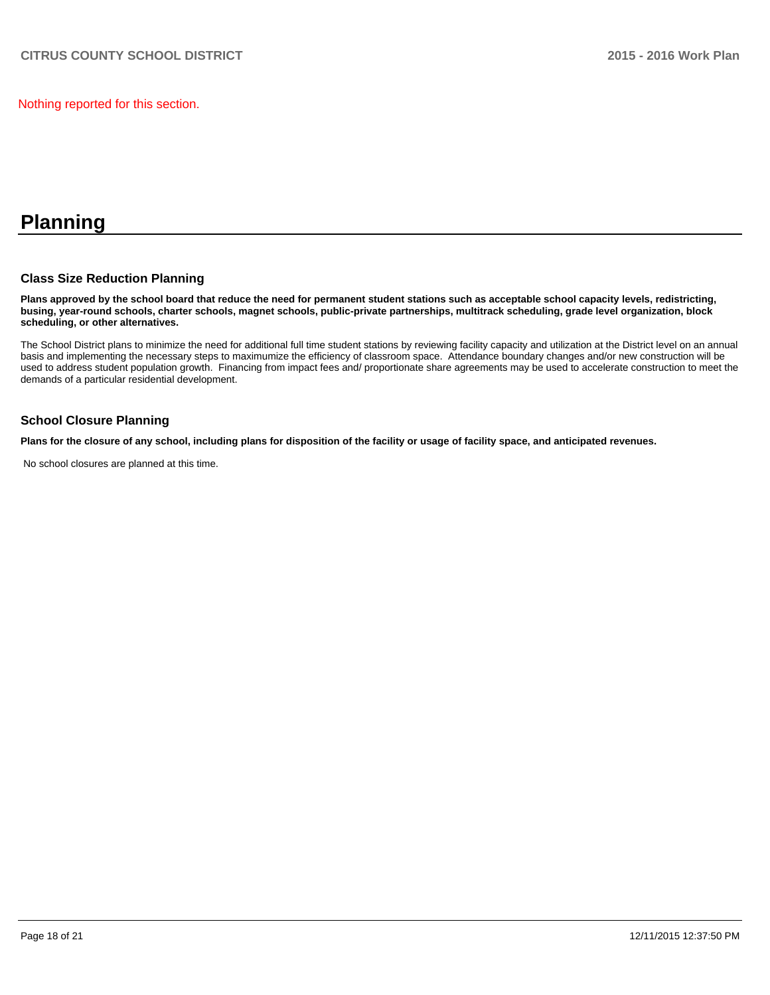Nothing reported for this section.

# **Planning**

#### **Class Size Reduction Planning**

**Plans approved by the school board that reduce the need for permanent student stations such as acceptable school capacity levels, redistricting, busing, year-round schools, charter schools, magnet schools, public-private partnerships, multitrack scheduling, grade level organization, block scheduling, or other alternatives.**

The School District plans to minimize the need for additional full time student stations by reviewing facility capacity and utilization at the District level on an annual basis and implementing the necessary steps to maximumize the efficiency of classroom space. Attendance boundary changes and/or new construction will be used to address student population growth. Financing from impact fees and/ proportionate share agreements may be used to accelerate construction to meet the demands of a particular residential development.

#### **School Closure Planning**

**Plans for the closure of any school, including plans for disposition of the facility or usage of facility space, and anticipated revenues.**

No school closures are planned at this time.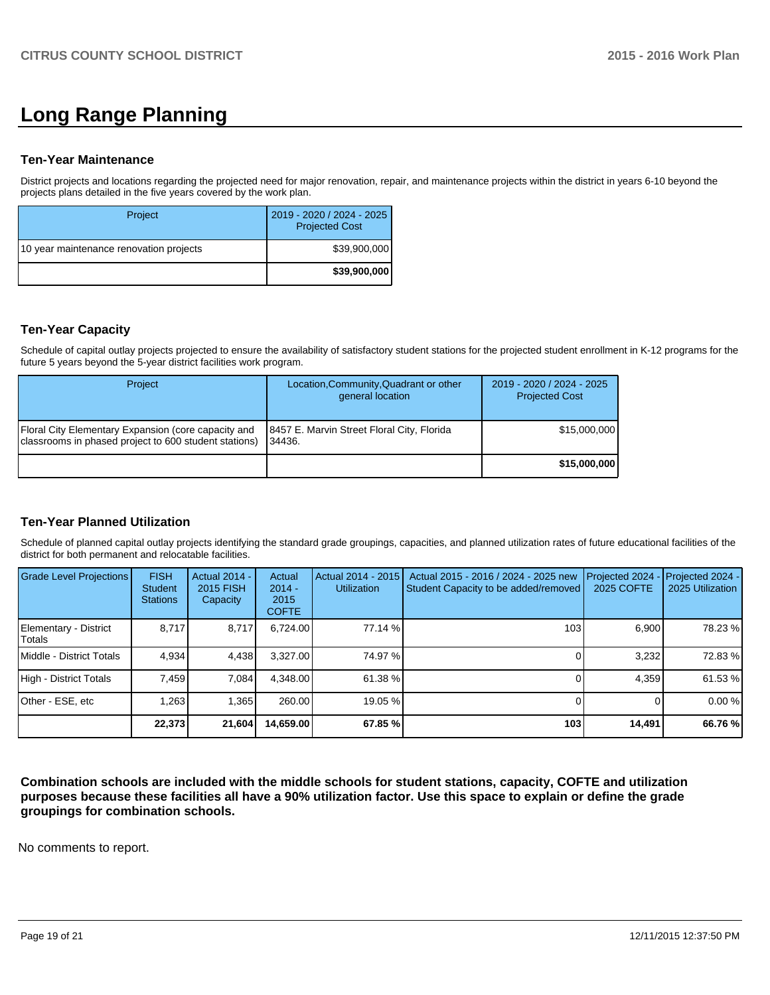# **Long Range Planning**

#### **Ten-Year Maintenance**

District projects and locations regarding the projected need for major renovation, repair, and maintenance projects within the district in years 6-10 beyond the projects plans detailed in the five years covered by the work plan.

| Project                                 | 2019 - 2020 / 2024 - 2025<br><b>Projected Cost</b> |
|-----------------------------------------|----------------------------------------------------|
| 10 year maintenance renovation projects | \$39,900,000                                       |
|                                         | \$39,900,000                                       |

#### **Ten-Year Capacity**

Schedule of capital outlay projects projected to ensure the availability of satisfactory student stations for the projected student enrollment in K-12 programs for the future 5 years beyond the 5-year district facilities work program.

| Project                                                                                                      | Location, Community, Quadrant or other<br>general location | 2019 - 2020 / 2024 - 2025<br><b>Projected Cost</b> |
|--------------------------------------------------------------------------------------------------------------|------------------------------------------------------------|----------------------------------------------------|
| Floral City Elementary Expansion (core capacity and<br>classrooms in phased project to 600 student stations) | 18457 E. Marvin Street Floral City, Florida<br>34436.      | \$15,000,000                                       |
|                                                                                                              |                                                            | \$15,000,000                                       |

#### **Ten-Year Planned Utilization**

Schedule of planned capital outlay projects identifying the standard grade groupings, capacities, and planned utilization rates of future educational facilities of the district for both permanent and relocatable facilities.

| Grade Level Projections         | <b>FISH</b><br>Student<br><b>Stations</b> | <b>Actual 2014 -</b><br>2015 FISH<br>Capacity | Actual<br>$2014 -$<br>2015<br><b>COFTE</b> | Actual 2014 - 2015<br><b>Utilization</b> | Actual 2015 - 2016 / 2024 - 2025 new<br>Student Capacity to be added/removed | Projected 2024<br>2025 COFTE | Projected 2024 -<br>2025 Utilization |
|---------------------------------|-------------------------------------------|-----------------------------------------------|--------------------------------------------|------------------------------------------|------------------------------------------------------------------------------|------------------------------|--------------------------------------|
| Elementary - District<br>Totals | 8.717                                     | 8,717                                         | 6.724.00                                   | 77.14 %                                  | 103                                                                          | 6.900                        | 78.23 %                              |
| Middle - District Totals        | 4.934                                     | 4.438                                         | 3.327.00                                   | 74.97 %l                                 |                                                                              | 3.232                        | 72.83%                               |
| High - District Totals          | 7.459                                     | 7.084                                         | 4.348.00                                   | 61.38 %                                  |                                                                              | 4.359                        | 61.53 %                              |
| Other - ESE, etc                | 1,263                                     | 1,365                                         | 260.00                                     | 19.05 %                                  |                                                                              |                              | 0.00%                                |
|                                 | 22.373                                    | 21,604                                        | 14,659.00                                  | 67.85 %                                  | 103                                                                          | 14,491                       | 66.76 %                              |

**Combination schools are included with the middle schools for student stations, capacity, COFTE and utilization purposes because these facilities all have a 90% utilization factor. Use this space to explain or define the grade groupings for combination schools.**

No comments to report.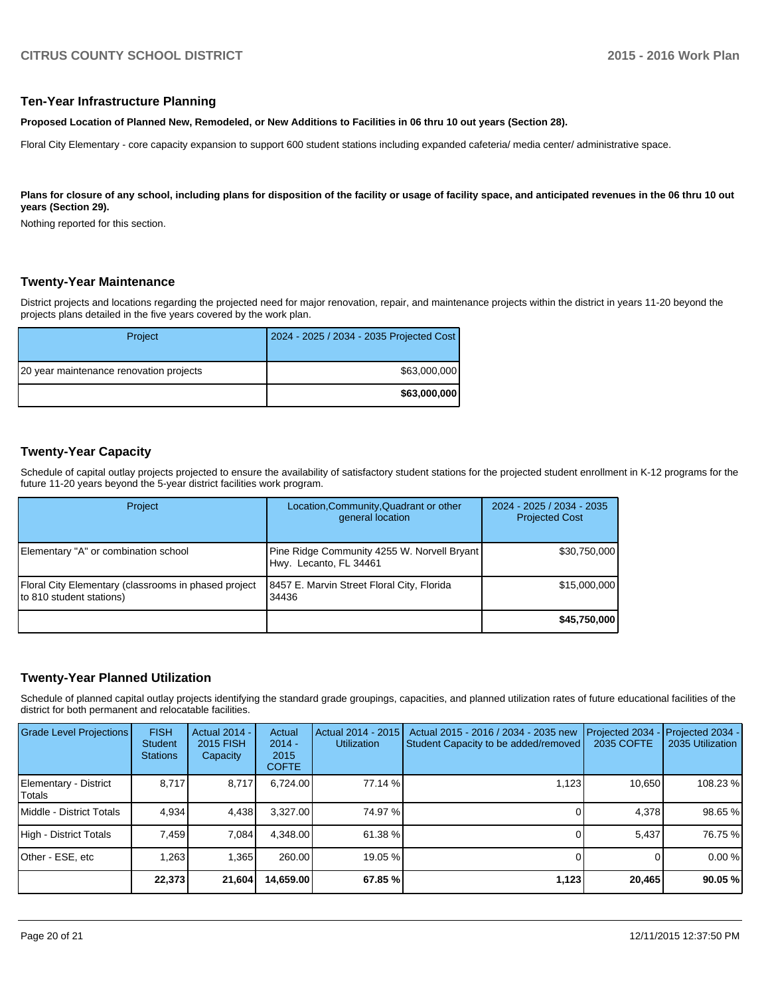#### **Ten-Year Infrastructure Planning**

**Proposed Location of Planned New, Remodeled, or New Additions to Facilities in 06 thru 10 out years (Section 28).**

Floral City Elementary - core capacity expansion to support 600 student stations including expanded cafeteria/ media center/ administrative space.

Plans for closure of any school, including plans for disposition of the facility or usage of facility space, and anticipated revenues in the 06 thru 10 out **years (Section 29).**

Nothing reported for this section.

#### **Twenty-Year Maintenance**

District projects and locations regarding the projected need for major renovation, repair, and maintenance projects within the district in years 11-20 beyond the projects plans detailed in the five years covered by the work plan.

| Project                                 | 2024 - 2025 / 2034 - 2035 Projected Cost |
|-----------------------------------------|------------------------------------------|
| 20 year maintenance renovation projects | \$63,000,000                             |
|                                         | \$63,000,000                             |

### **Twenty-Year Capacity**

Schedule of capital outlay projects projected to ensure the availability of satisfactory student stations for the projected student enrollment in K-12 programs for the future 11-20 years beyond the 5-year district facilities work program.

| Project                                                                          | Location, Community, Quadrant or other<br>general location            | 2024 - 2025 / 2034 - 2035<br><b>Projected Cost</b> |
|----------------------------------------------------------------------------------|-----------------------------------------------------------------------|----------------------------------------------------|
| Elementary "A" or combination school                                             | Pine Ridge Community 4255 W. Norvell Bryant<br>Hwy. Lecanto, FL 34461 | \$30,750,000                                       |
| Floral City Elementary (classrooms in phased project<br>to 810 student stations) | 8457 E. Marvin Street Floral City, Florida<br>34436                   | \$15,000,000                                       |
|                                                                                  |                                                                       | \$45,750,000                                       |

#### **Twenty-Year Planned Utilization**

Schedule of planned capital outlay projects identifying the standard grade groupings, capacities, and planned utilization rates of future educational facilities of the district for both permanent and relocatable facilities.

| Grade Level Projections         | <b>FISH</b><br><b>Student</b><br><b>Stations</b> | <b>Actual 2014 -</b><br>2015 FISH<br>Capacity | Actual<br>$2014 -$<br>2015<br><b>COFTE</b> | Actual 2014 - 2015<br><b>Utilization</b> | Actual 2015 - 2016 / 2034 - 2035 new<br>Student Capacity to be added/removed | Projected 2034<br>2035 COFTE | Projected 2034 -<br>2035 Utilization |
|---------------------------------|--------------------------------------------------|-----------------------------------------------|--------------------------------------------|------------------------------------------|------------------------------------------------------------------------------|------------------------------|--------------------------------------|
| Elementary - District<br>Totals | 8.717                                            | 8.717                                         | 6.724.00                                   | 77.14 %                                  | 1.123                                                                        | 10.650                       | 108.23 %                             |
| Middle - District Totals        | 4.934                                            | 4.438                                         | 3.327.00                                   | 74.97 %                                  |                                                                              | 4.378                        | 98.65 %                              |
| High - District Totals          | 7.459                                            | 7,084                                         | 4.348.00                                   | 61.38 %                                  |                                                                              | 5,437                        | 76.75 %                              |
| Other - ESE, etc                | 1,263                                            | 1.365                                         | 260.00                                     | 19.05 %                                  |                                                                              |                              | 0.00%                                |
|                                 | 22.373                                           | 21,604                                        | 14,659.00                                  | 67.85 %                                  | 1,123                                                                        | 20,465                       | 90.05 %                              |